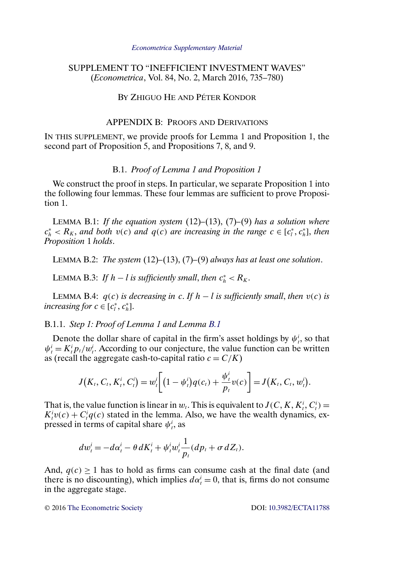#### *[Econometrica Supplementary Material](http://www.econometricsociety.org/suppmatlist.asp)*

# <span id="page-0-0"></span>SUPPLEMENT TO "INEFFICIENT INVESTMENT WAVES" (*Econometrica*, Vol. 84, No. 2, March 2016, 735–780)

# BY ZHIGUO HE AND PÉTER KONDOR

## APPENDIX B: PROOFS AND DERIVATIONS

IN THIS SUPPLEMENT, we provide proofs for Lemma 1 and Proposition 1, the second part of Proposition 5, and Propositions 7, 8, and 9.

#### B.1. *Proof of Lemma 1 and Proposition 1*

We construct the proof in steps. In particular, we separate Proposition 1 into the following four lemmas. These four lemmas are sufficient to prove Proposition 1.

LEMMA B.1: *If the equation system* (12)*–*(13), (7)*–*(9) *has a solution where*  $c_h^* < R_K$ , and both  $v(c)$  and  $q(c)$  are increasing in the range  $c \in [c_l^*, c_h^*]$ , then *Proposition* 1 *holds*.

LEMMA B.2: *The system* (12)*–*(13), (7)*–*(9) *always has at least one solution*.

LEMMA B.3: *If*  $h - l$  *is sufficiently small, then*  $c_h^* < R_K$ .

LEMMA B.4:  $q(c)$  *is decreasing in* c. If  $h - l$  *is sufficiently small, then*  $v(c)$  *is increasing for*  $c \in [c_l^*, c_h^*]$ .

#### B.1.1. *Step 1: Proof of Lemma 1 and Lemma B.1*

Denote the dollar share of capital in the firm's asset holdings by  $\psi_t^i$ , so that  $\psi_t^i = K_t^i p_t/w_t^i$ . According to our conjecture, the value function can be written as (recall the aggregate cash-to-capital ratio  $c = C/K$ )

$$
J(K_t, C_t, K_t^i, C_t^i) = w_t^i \bigg[ (1 - \psi_t^i) q(c_t) + \frac{\psi_t^i}{p_t} v(c) \bigg] = J(K_t, C_t, w_t^i).
$$

That is, the value function is linear in  $w_t$ . This is equivalent to  $J(C, K, K_t^i, C_t^i)$  $K_t^i v(c) + C_t^i q(c)$  stated in the lemma. Also, we have the wealth dynamics, expressed in terms of capital share  $\psi_i^i$ , as

$$
dw_t^i = -d\alpha_t^i - \theta dK_t^i + \psi_t^i w_t^i \frac{1}{p_t} (dp_t + \sigma dZ_t).
$$

And,  $q(c) \ge 1$  has to hold as firms can consume cash at the final date (and there is no discounting), which implies  $d\alpha_t^i = 0$ , that is, firms do not consume in the aggregate stage.

© 2016 [The Econometric Society](http://www.econometricsociety.org/) DOI: [10.3982/ECTA11788](http://dx.doi.org/10.3982/ECTA11788)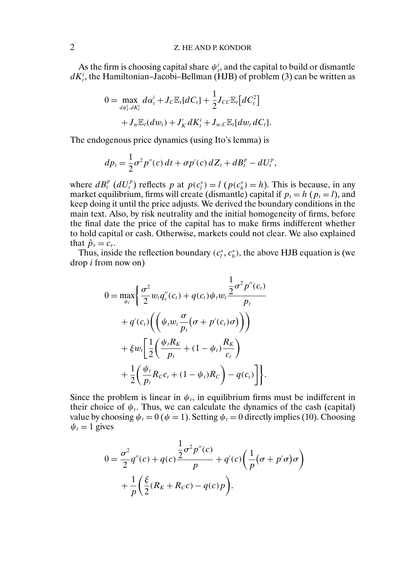As the firm is choosing capital share  $\psi_t^i$ , and the capital to build or dismantle  $dK_t^i$ , the Hamiltonian–Jacobi–Bellman (HJB) of problem (3) can be written as

$$
0 = \max_{d\psi_t^i, dK_t^i} d\alpha_t^i + J_C \mathbb{E}_t[dC_t] + \frac{1}{2} J_{CC} \mathbb{E}_t[dC_t^2] + J_w \mathbb{E}_t(dw_t) + J'_K dK_t^i + J_{w,C} \mathbb{E}_t[dw_t dC_t].
$$

The endogenous price dynamics (using Ito's lemma) is

$$
dp_t = \frac{1}{2}\sigma^2 p''(c) dt + \sigma p'(c) dZ_t + dB_t^p - dU_t^p,
$$

where  $dB_t^p$  ( $dU_t^p$ ) reflects p at  $p(c_t^*) = l$  ( $p(c_h^*) = h$ ). This is because, in any market equilibrium, firms will create (dismantle) capital if  $p_t = h$  ( $p_t = l$ ), and keep doing it until the price adjusts. We derived the boundary conditions in the main text. Also, by risk neutrality and the initial homogeneity of firms, before the final date the price of the capital has to make firms indifferent whether to hold capital or cash. Otherwise, markets could not clear. We also explained that  $\hat{p}_{\tau} = c_{\tau}$ .

Thus, inside the reflection boundary  $(c_i^*, c_h^*)$ , the above HJB equation is (we drop i from now on)

$$
0 = \max_{\psi_t} \left\{ \frac{\sigma^2}{2} w_t q_c''(c_t) + q(c_t) \psi_t w_t \frac{\frac{1}{2} \sigma^2 p''(c_t)}{p_t} + q'(c_t) \left( \left( \psi_t w_t \frac{\sigma}{p_t} (\sigma + p'(c_t) \sigma) \right) \right) + \xi w_t \left[ \frac{1}{2} \left( \frac{\psi_t R_K}{p_t} + (1 - \psi_t) \frac{R_K}{c_t} \right) + \frac{1}{2} \left( \frac{\psi_t}{p_t} R_C c_t + (1 - \psi_t) R_C \right) - q(c_t) \right] \right\}.
$$

Since the problem is linear in  $\psi_t$ , in equilibrium firms must be indifferent in their choice of  $\psi_t$ . Thus, we can calculate the dynamics of the cash (capital) value by choosing  $\psi_t = 0$  ( $\psi = 1$ ). Setting  $\psi_t = 0$  directly implies (10). Choosing  $\psi_t = 1$  gives

$$
0 = \frac{\sigma^2}{2}q''(c) + q(c)\frac{\frac{1}{2}\sigma^2 p''(c)}{p} + q'(c)\left(\frac{1}{p}(\sigma + p'\sigma)\sigma\right) + \frac{1}{p}\left(\frac{\xi}{2}(R_K + R_Cc) - q(c)p\right).
$$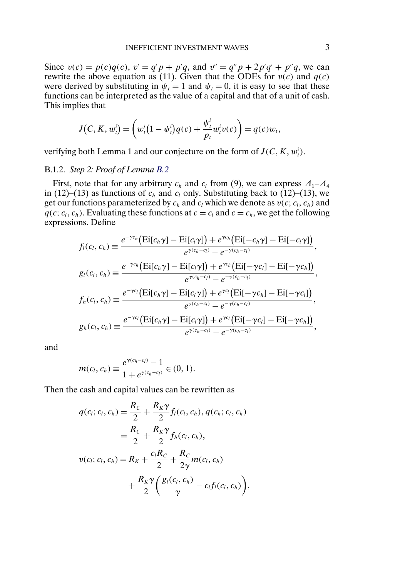Since  $v(c) = p(c)q(c)$ ,  $v' = q'p + p'q$ , and  $v'' = q''p + 2p'q' + p''q$ , we can rewrite the above equation as (11). Given that the ODEs for  $v(c)$  and  $q(c)$ were derived by substituting in  $\psi_t = 1$  and  $\psi_t = 0$ , it is easy to see that these functions can be interpreted as the value of a capital and that of a unit of cash. This implies that

$$
J(C, K, w_t^i) = \left(w_t^i (1 - \psi_t^i) q(c) + \frac{\psi_t^i}{p_t} w_t^i v(c)\right) = q(c) w_t,
$$

verifying both Lemma 1 and our conjecture on the form of  $J(C, K, w_t^i)$ .

## B.1.2. *Step 2: Proof of Lemma [B.2](#page-0-0)*

First, note that for any arbitrary  $c_h$  and  $c_l$  from (9), we can express  $A_1 - A_4$ in (12)–(13) as functions of  $c_h$  and  $c_l$  only. Substituting back to (12)–(13), we get our functions parameterized by  $c_h$  and  $c_l$  which we denote as  $v(c; c_l, c_h)$  and  $q(c; c_l, c_h)$ . Evaluating these functions at  $c = c_l$  and  $c = c_h$ , we get the following expressions. Define

$$
f_l(c_l, c_h) = \frac{e^{-\gamma c_h} (Ei[c_h \gamma] - Ei[c_l \gamma]) + e^{\gamma c_h} (Ei[-c_h \gamma] - Ei[-c_l \gamma])}{e^{\gamma(c_h - c_l)} - e^{-\gamma(c_h - c_l)}},
$$
  
\n
$$
g_l(c_l, c_h) = \frac{e^{-\gamma c_h} (Ei[c_h \gamma] - Ei[c_l \gamma]) + e^{\gamma c_h} (Ei[-\gamma c_l] - Ei[-\gamma c_h])}{e^{\gamma(c_h - c_l)} - e^{-\gamma(c_h - c_l)}},
$$
  
\n
$$
f_h(c_l, c_h) = \frac{e^{-\gamma c_l} (Ei[c_h \gamma] - Ei[c_l \gamma]) + e^{\gamma c_l} (Ei[-\gamma c_h] - Ei[-\gamma c_l])}{e^{\gamma(c_h - c_l)} - e^{-\gamma(c_h - c_l)}},
$$
  
\n
$$
g_h(c_l, c_h) = \frac{e^{-\gamma c_l} (Ei[c_h \gamma] - Ei[c_l \gamma]) + e^{\gamma c_l} (Ei[-\gamma c_l] - Ei[-\gamma c_h])}{e^{\gamma(c_h - c_l)} - e^{-\gamma(c_h - c_l)}},
$$

and

$$
m(c_l, c_h) \equiv \frac{e^{\gamma(c_h - c_l)} - 1}{1 + e^{\gamma(c_h - c_l)}} \in (0, 1).
$$

Then the cash and capital values can be rewritten as

$$
q(c_i; c_l, c_h) = \frac{R_C}{2} + \frac{R_K \gamma}{2} f_l(c_l, c_h), q(c_h; c_l, c_h)
$$
  
= 
$$
\frac{R_C}{2} + \frac{R_K \gamma}{2} f_h(c_l, c_h),
$$
  

$$
v(c_l; c_l, c_h) = R_K + \frac{c_l R_C}{2} + \frac{R_C}{2\gamma} m(c_l, c_h)
$$
  
+ 
$$
\frac{R_K \gamma}{2} \left( \frac{g_l(c_l, c_h)}{\gamma} - c_l f_l(c_l, c_h) \right),
$$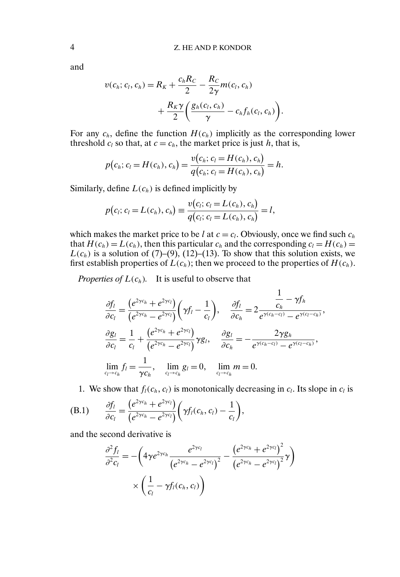and

$$
v(c_h; c_l, c_h) = R_K + \frac{c_h R_C}{2} - \frac{R_C}{2\gamma} m(c_l, c_h)
$$

$$
+ \frac{R_K \gamma}{2} \left( \frac{g_h(c_l, c_h)}{\gamma} - c_h f_h(c_l, c_h) \right)
$$

For any  $c_h$ , define the function  $H(c_h)$  implicitly as the corresponding lower threshold  $c_l$  so that, at  $c = c_h$ , the market price is just h, that is,

.

$$
p(c_h; c_l = H(c_h), c_h) = \frac{v(c_h; c_l = H(c_h), c_h)}{q(c_h; c_l = H(c_h), c_h)} = h.
$$

Similarly, define  $L(c_h)$  is defined implicitly by

$$
p(c_i; c_l = L(c_h), c_h) \equiv \frac{v(c_i; c_l = L(c_h), c_h)}{q(c_i; c_l = L(c_h), c_h)} = l,
$$

which makes the market price to be l at  $c = c_l$ . Obviously, once we find such  $c_h$ that  $H(c_h) = L(c_h)$ , then this particular  $c_h$  and the corresponding  $c_l = H(c_h)$  $L(c_h)$  is a solution of (7)–(9), (12)–(13). To show that this solution exists, we first establish properties of  $\hat{L}(c_h)$ ; then we proceed to the properties of  $H(c_h)$ .

*Properties of*  $L(c_h)$ *.* It is useful to observe that

$$
\frac{\partial f_l}{\partial c_l} = \frac{\left(e^{2\gamma c_h} + e^{2\gamma c_l}\right)}{\left(e^{2\gamma c_h} - e^{2\gamma c_l}\right)} \left(\gamma f_l - \frac{1}{c_l}\right), \quad \frac{\partial f_l}{\partial c_h} = 2 \frac{\frac{1}{c_h} - \gamma f_h}{e^{\gamma (c_h - c_l)} - e^{\gamma (c_l - c_h)}},
$$
\n
$$
\frac{\partial g_l}{\partial c_l} = \frac{1}{c_l} + \frac{\left(e^{2\gamma c_h} + e^{2\gamma c_l}\right)}{\left(e^{2\gamma c_h} - e^{2\gamma c_l}\right)} \gamma g_l, \quad \frac{\partial g_l}{\partial c_h} = -\frac{2\gamma g_h}{e^{\gamma (c_h - c_l)} - e^{\gamma (c_l - c_h)}},
$$
\n
$$
\lim_{c_l \to c_h} f_l = \frac{1}{\gamma c_h}, \quad \lim_{c_l \to c_h} g_l = 0, \quad \lim_{c_l \to c_h} m = 0.
$$

1. We show that  $f_l(c_h, c_l)$  is monotonically decreasing in  $c_l$ . Its slope in  $c_l$  is

(B.1) 
$$
\frac{\partial f_l}{\partial c_l} = \frac{\left(e^{2\gamma c_h} + e^{2\gamma c_l}\right)}{\left(e^{2\gamma c_h} - e^{2\gamma c_l}\right)} \left(\gamma f_l(c_h, c_l) - \frac{1}{c_l}\right),
$$

and the second derivative is

$$
\frac{\partial^2 f_l}{\partial^2 c_l} = -\left(4\gamma e^{2\gamma c_h} \frac{e^{2\gamma c_l}}{\left(e^{2\gamma c_h} - e^{2\gamma c_l}\right)^2} - \frac{\left(e^{2\gamma c_h} + e^{2\gamma c_l}\right)^2}{\left(e^{2\gamma c_h} - e^{2\gamma c_l}\right)^2}\gamma\right) \times \left(\frac{1}{c_l} - \gamma f_l(c_h, c_l)\right)
$$

<span id="page-3-0"></span>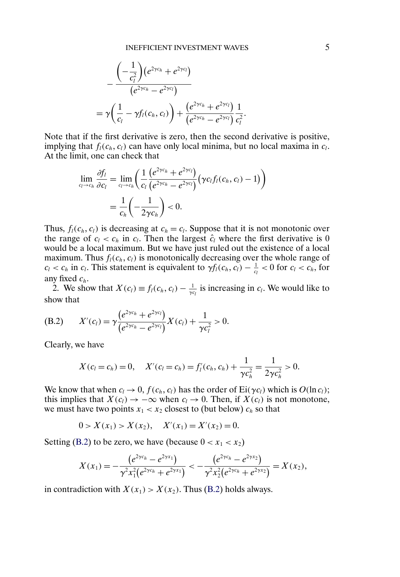<span id="page-4-0"></span>
$$
-\frac{\left(-\frac{1}{c_l^2}\right)(e^{2\gamma c_h}+e^{2\gamma c_l})}{(e^{2\gamma c_h}-e^{2\gamma c_l})}\n=\gamma\left(\frac{1}{c_l}-\gamma f_l(c_h,c_l)\right)+\frac{\left(e^{2\gamma c_h}+e^{2\gamma c_l}\right)}{(e^{2\gamma c_h}-e^{2\gamma c_l})}\frac{1}{c_l^2}.
$$

Note that if the first derivative is zero, then the second derivative is positive, implying that  $f_l(c_h, c_l)$  can have only local minima, but no local maxima in  $c_l$ . At the limit, one can check that

$$
\lim_{c_l \to c_h} \frac{\partial f_l}{\partial c_l} = \lim_{c_l \to c_h} \left( \frac{1}{c_l} \frac{\left( e^{2\gamma c_h} + e^{2\gamma c_l} \right)}{\left( e^{2\gamma c_h} - e^{2\gamma c_l} \right)} \left( \gamma c_l f_l(c_h, c_l) - 1 \right) \right)
$$
\n
$$
= \frac{1}{c_h} \left( -\frac{1}{2\gamma c_h} \right) < 0.
$$

Thus,  $f_l(c_h, c_l)$  is decreasing at  $c_h = c_l$ . Suppose that it is not monotonic over the range of  $c_l < c_h$  in  $c_l$ . Then the largest  $\hat{c}_l$  where the first derivative is 0 would be a local maximum. But we have just ruled out the existence of a local maximum. Thus  $f_l(c_h, c_l)$  is monotonically decreasing over the whole range of  $c_l < c_h$  in  $c_l$ . This statement is equivalent to  $\gamma f_l(c_h, c_l) - \frac{1}{c_l} < 0$  for  $c_l < c_h$ , for any fixed  $c_h$ .

2. We show that  $X(c_l) \equiv f_l(c_h, c_l) - \frac{1}{\gamma c_l}$  is increasing in  $c_l$ . We would like to show that

(B.2) 
$$
X'(c_l) = \gamma \frac{(e^{2\gamma c_h} + e^{2\gamma c_l})}{(e^{2\gamma c_h} - e^{2\gamma c_l})} X(c_l) + \frac{1}{\gamma c_l^2} > 0.
$$

Clearly, we have

$$
X(c_l = c_h) = 0, \quad X'(c_l = c_h) = f'_l(c_h, c_h) + \frac{1}{\gamma c_h^2} = \frac{1}{2\gamma c_h^2} > 0.
$$

We know that when  $c_l \to 0$ ,  $f(c_h, c_l)$  has the order of Ei( $\gamma c_l$ ) which is  $O(\ln c_l)$ ; this implies that  $X(c_l) \to -\infty$  when  $c_l \to 0$ . Then, if  $X(c_l)$  is not monotone, we must have two points  $x_1 < x_2$  closest to (but below)  $c_h$  so that

$$
0 > X(x_1) > X(x_2), \quad X'(x_1) = X'(x_2) = 0.
$$

Setting (B.2) to be zero, we have (because  $0 < x_1 < x_2$ )

$$
X(x_1)=-\frac{(e^{2\gamma c_h}-e^{2\gamma x_1})}{\gamma^2 x_1^2(e^{2\gamma c_h}+e^{2\gamma x_1})}<-\frac{(e^{2\gamma c_h}-e^{2\gamma x_2})}{\gamma^2 x_2^2(e^{2\gamma c_h}+e^{2\gamma x_2})}=X(x_2),
$$

in contradiction with  $X(x_1) > X(x_2)$ . Thus (B.2) holds always.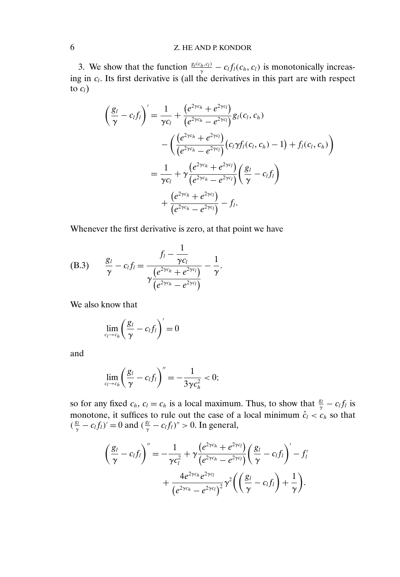# <span id="page-5-0"></span>6 Z. HE AND P. KONDOR

3. We show that the function  $\frac{g_l(c_h, c_l)}{\gamma} - c_l f_l(c_h, c_l)$  is monotonically increasing in  $c_l$ . Its first derivative is (all the derivatives in this part are with respect to  $c_l$ )

$$
\left(\frac{g_l}{\gamma} - c_l f_l\right)' = \frac{1}{\gamma c_l} + \frac{\left(e^{2\gamma c_h} + e^{2\gamma c_l}\right)}{\left(e^{2\gamma c_h} - e^{2\gamma c_l}\right)} g_l(c_l, c_h)
$$
\n
$$
- \left(\frac{\left(e^{2\gamma c_h} + e^{2\gamma c_l}\right)}{\left(e^{2\gamma c_h} - e^{2\gamma c_l}\right)} \left(c_l \gamma f_l(c_l, c_h) - 1\right) + f_l(c_l, c_h)\right)
$$
\n
$$
= \frac{1}{\gamma c_l} + \gamma \frac{\left(e^{2\gamma c_h} + e^{2\gamma c_l}\right)}{\left(e^{2\gamma c_h} - e^{2\gamma c_l}\right)} \left(\frac{g_l}{\gamma} - c_l f_l\right)
$$
\n
$$
+ \frac{\left(e^{2\gamma c_h} + e^{2\gamma c_l}\right)}{\left(e^{2\gamma c_h} - e^{2\gamma c_l}\right)} - f_l.
$$

Whenever the first derivative is zero, at that point we have

(B.3) 
$$
\frac{g_l}{\gamma} - c_l f_l = \frac{f_l - \frac{1}{\gamma c_l}}{\gamma \frac{(e^{2\gamma c_h} + e^{2\gamma c_l})}{(e^{2\gamma c_h} - e^{2\gamma c_l})}} - \frac{1}{\gamma}.
$$

We also know that

$$
\lim_{c_l\to c_h}\left(\frac{g_l}{\gamma}-c_lf_l\right)'=0
$$

and

$$
\lim_{c_l\to c_h}\left(\frac{g_l}{\gamma}-c_lf_l\right)^{''}=-\frac{1}{3\gamma c_h^2}<0;
$$

so for any fixed  $c_h$ ,  $c_l = c_h$  is a local maximum. Thus, to show that  $\frac{g_l}{\gamma} - c_l f_l$  is monotone, it suffices to rule out the case of a local minimum  $\hat{c}_l < c_h$  so that  $(\frac{g_l}{\gamma} - c_l f_l)' = 0$  and  $(\frac{g_l}{\gamma} - c_l f_l)' > 0$ . In general,

$$
\left(\frac{g_l}{\gamma}-c_l f_l\right)''=-\frac{1}{\gamma c_l^2}+\gamma \frac{\left(e^{2\gamma c_h}+e^{2\gamma c_l}\right)}{\left(e^{2\gamma c_h}-e^{2\gamma c_l}\right)}\left(\frac{g_l}{\gamma}-c_l f_l\right)'-f_l'
$$

$$
+\frac{4e^{2\gamma c_h}e^{2\gamma c_l}}{\left(e^{2\gamma c_h}-e^{2\gamma c_l}\right)^2}\gamma^2\left(\left(\frac{g_l}{\gamma}-c_l f_l\right)+\frac{1}{\gamma}\right).
$$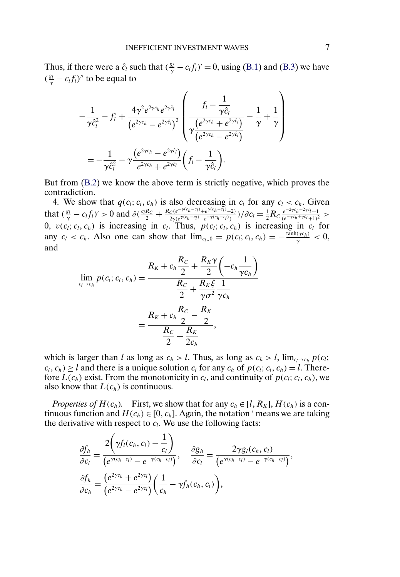<span id="page-6-0"></span>Thus, if there were a  $\hat{c}_l$  such that  $(\frac{g_l}{\gamma} - c_l f_l)' = 0$ , using [\(B.1\)](#page-3-0) and [\(B.3\)](#page-5-0) we have  $(\frac{g_l}{\gamma} - c_l f_l)'$  to be equal to

$$
-\frac{1}{\gamma \hat{c}_{l}^{2}} - f'_{l} + \frac{4 \gamma^{2} e^{2 \gamma c_{h}} e^{2 \gamma \hat{c}_{l}}}{\left(e^{2 \gamma c_{h}} - e^{2 \gamma \hat{c}_{l}}\right)^{2}} \left(\frac{f_{l} - \frac{1}{\gamma \hat{c}_{l}}}{\gamma \frac{\left(e^{2 \gamma c_{h}} + e^{2 \gamma \hat{c}_{l}}\right)}{\left(e^{2 \gamma c_{h}} - e^{2 \gamma \hat{c}_{l}}\right)}} - \frac{1}{\gamma} + \frac{1}{\gamma}\right)
$$
  
= 
$$
-\frac{1}{\gamma \hat{c}_{l}^{2}} - \gamma \frac{\left(e^{2 \gamma c_{h}} - e^{2 \gamma \hat{c}_{l}}\right)}{e^{2 \gamma c_{h}} + e^{2 \gamma \hat{c}_{l}}} \left(f_{l} - \frac{1}{\gamma \hat{c}_{l}}\right).
$$

But from [\(B.2\)](#page-4-0) we know the above term is strictly negative, which proves the contradiction.

4. We show that  $q(c_l; c_l, c_h)$  is also decreasing in  $c_l$  for any  $c_l < c_h$ . Given that  $(\frac{g_l}{\gamma} - c_l f_l)' > 0$  and  $\partial(\frac{c_l R_C}{2} + \frac{R_C(e^{-\gamma(c_h - c_l)} + e^{\gamma(c_h - c_l)} - 2)}{2\gamma(e^{\gamma(c_h - c_l)} - e^{-\gamma(c_h - c_l)})})/\partial c_l = \frac{1}{2}R_C \frac{e^{-2\gamma c_h + 2\gamma c_l} + 1}{(e^{-\gamma c_h + \gamma c_l} + 1)^2} >$ 0,  $v(c_i; c_i, c_h)$  is increasing in  $c_i$ . Thus,  $p(c_i; c_i, c_h)$  is increasing in  $c_i$  for any  $c_l < c_h$ . Also one can show that  $\lim_{c_l \downarrow 0} p(c_l; c_l, c_h) = -\frac{\tanh(\gamma c_h)}{\gamma} < 0$ , and

$$
\lim_{c_l \to c_h} p(c_l; c_l, c_h) = \frac{R_K + c_h \frac{R_C}{2} + \frac{R_K \gamma}{2} \left( -c_h \frac{1}{\gamma c_h} \right)}{\frac{R_C}{2} + \frac{R_K \xi}{\gamma \sigma^2} \frac{1}{\gamma c_h}}
$$
\n
$$
= \frac{R_K + c_h \frac{R_C}{2} - \frac{R_K}{2}}{\frac{R_C}{2} + \frac{R_K}{2c_h}},
$$

which is larger than l as long as  $c_h > l$ . Thus, as long as  $c_h > l$ ,  $\lim_{c_l \to c_h} p(c_l;$  $c_l, c_h$ )  $\geq l$  and there is a unique solution  $c_l$  for any  $c_h$  of  $p(c_l; c_l, c_h) = l$ . Therefore  $L(c_h)$  exist. From the monotonicity in  $c_l$ , and continuity of  $p(c_l; c_l, c_h)$ , we also know that  $L(c_h)$  is continuous.

*Properties of*  $H(c_h)$ *.* First, we show that for any  $c_h \in [l, R_K]$ ,  $H(c_h)$  is a continuous function and  $H(c_h) \in [0, c_h]$ . Again, the notation ' means we are taking the derivative with respect to  $c_l$ . We use the following facts:

$$
\frac{\partial f_h}{\partial c_l} = \frac{2\left(\gamma f_l(c_h, c_l) - \frac{1}{c_l}\right)}{\left(e^{\gamma(c_h - c_l)} - e^{-\gamma(c_h - c_l)}\right)}, \quad \frac{\partial g_h}{\partial c_l} = \frac{2\gamma g_l(c_h, c_l)}{\left(e^{\gamma(c_h - c_l)} - e^{-\gamma(c_h - c_l)}\right)},
$$
  

$$
\frac{\partial f_h}{\partial c_h} = \frac{\left(e^{2\gamma c_h} + e^{2\gamma c_l}\right)}{\left(e^{2\gamma c_h} - e^{2\gamma c_l}\right)} \left(\frac{1}{c_h} - \gamma f_h(c_h, c_l)\right),
$$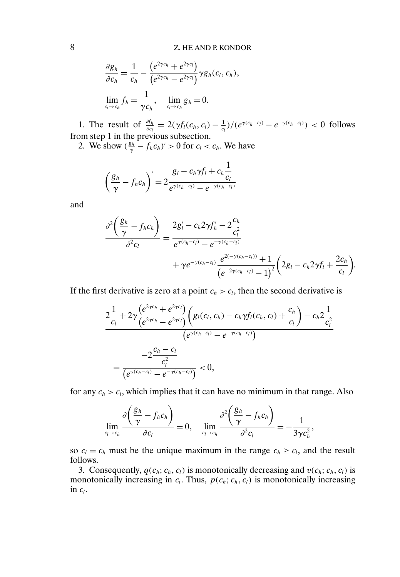$$
\frac{\partial g_h}{\partial c_h} = \frac{1}{c_h} - \frac{\left(e^{2\gamma c_h} + e^{2\gamma c_l}\right)}{\left(e^{2\gamma c_h} - e^{2\gamma c_l}\right)} \gamma g_h(c_l, c_h),
$$
  

$$
\lim_{c_l \to c_h} f_h = \frac{1}{\gamma c_h}, \quad \lim_{c_l \to c_h} g_h = 0.
$$

1. The result of  $\frac{\partial f_h}{\partial c_l} = 2(\gamma f_l(c_h, c_l) - \frac{1}{c_l})/(e^{\gamma(c_h - c_l)} - e^{-\gamma(c_h - c_l)}) < 0$  follows from step 1 in the previous subsection.

2. We show  $(\frac{g_h}{\gamma} - f_h c_h)' > 0$  for  $c_l < c_h$ . We have

$$
\left(\frac{g_h}{\gamma} - f_h c_h\right)' = 2 \frac{g_l - c_h \gamma f_l + c_h \frac{1}{c_l}}{e^{\gamma(c_h - c_l)} - e^{-\gamma(c_h - c_l)}}
$$

and

$$
\frac{\partial^2 \left(\frac{g_h}{\gamma} - f_h c_h\right)}{\partial^2 c_l} = \frac{2g_l' - c_h 2\gamma f_h' - 2\frac{c_h}{c_l^2}}{e^{\gamma(c_h - c_l)} - e^{-\gamma(c_h - c_l)}} + \gamma e^{-\gamma(c_h - c_l)} \frac{e^{2(-\gamma(c_h - c_l))} + 1}{\left(e^{-2\gamma(c_h - c_l)} - 1\right)^2} \left(2g_l - c_h 2\gamma f_l + \frac{2c_h}{c_l}\right).
$$

If the first derivative is zero at a point  $c_h > c_l$ , then the second derivative is

$$
\frac{2\frac{1}{c_l} + 2\gamma \frac{(e^{2\gamma c_h} + e^{2\gamma c_l})}{(e^{2\gamma c_h} - e^{2\gamma c_l})} \left(g_l(c_l, c_h) - c_h \gamma f_l(c_h, c_l) + \frac{c_h}{c_l}\right) - c_h 2\frac{1}{c_l^2}}{(e^{\gamma (c_h - c_l)} - e^{-\gamma (c_h - c_l)})}\n=\n\frac{-2\frac{c_h - c_l}{c_l^2}}{(e^{\gamma (c_h - c_l)} - e^{-\gamma (c_h - c_l)})} < 0,
$$

for any  $c_h > c_l$ , which implies that it can have no minimum in that range. Also

$$
\lim_{c_l \to c_h} \frac{\partial \left( \frac{g_h}{\gamma} - f_h c_h \right)}{\partial c_l} = 0, \quad \lim_{c_l \to c_h} \frac{\partial^2 \left( \frac{g_h}{\gamma} - f_h c_h \right)}{\partial^2 c_l} = -\frac{1}{3\gamma c_h^2},
$$

so  $c_l = c_h$  must be the unique maximum in the range  $c_h \ge c_l$ , and the result follows.

3. Consequently,  $q(c_h; c_h, c_l)$  is monotonically decreasing and  $v(c_h; c_h, c_l)$  is monotonically increasing in  $c_l$ . Thus,  $p(c_h; c_h, c_l)$  is monotonically increasing in  $c_l$ .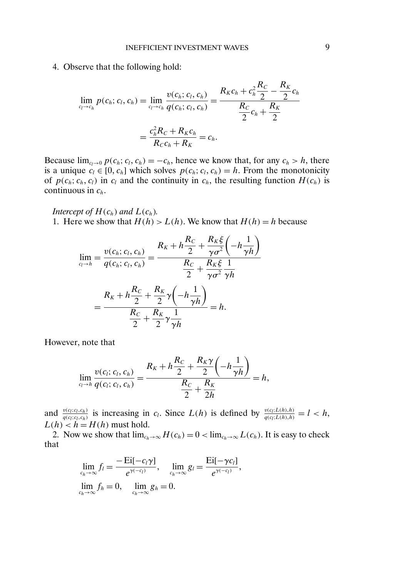4. Observe that the following hold:

$$
\lim_{c_l \to c_h} p(c_h; c_l, c_h) = \lim_{c_l \to c_h} \frac{v(c_h; c_l, c_h)}{q(c_h; c_l, c_h)} = \frac{R_K c_h + c_h^2 \frac{R_C}{2} - \frac{R_K}{2} c_h}{\frac{R_C}{2} c_h + \frac{R_K}{2}}
$$
\n
$$
= \frac{c_h^2 R_C + R_K c_h}{R_C c_h + R_K} = c_h.
$$

Because  $\lim_{c_l \to 0} p(c_h; c_l, c_h) = -c_h$ , hence we know that, for any  $c_h > h$ , there is a unique  $c_l \in [0, c_h]$  which solves  $p(c_h; c_l, c_h) = h$ . From the monotonicity of  $p(c_h; c_h, c_l)$  in  $c_l$  and the continuity in  $c_h$ , the resulting function  $H(c_h)$  is continuous in  $c_h$ .

*Intercept of*  $H(c_h)$  *and*  $L(c_h)$ *.* 1. Here we show that  $H(h) > L(h)$ . We know that  $H(h) = h$  because

$$
\lim_{c_l \to h} = \frac{v(c_h; c_l, c_h)}{q(c_h; c_l, c_h)} = \frac{R_K + h\frac{R_C}{2} + \frac{R_K\xi}{\gamma\sigma^2} \left(-h\frac{1}{\gamma h}\right)}{\frac{R_C}{2} + \frac{R_K\xi}{\gamma\sigma^2} \frac{1}{\gamma h}}
$$
\n
$$
= \frac{R_K + h\frac{R_C}{2} + \frac{R_K}{2}\gamma \left(-h\frac{1}{\gamma h}\right)}{\frac{R_C}{2} + \frac{R_K}{2}\gamma \frac{1}{\gamma h}} = h.
$$

However, note that

$$
\lim_{c_i \to h} \frac{v(c_i; c_i, c_h)}{q(c_i; c_i, c_h)} = \frac{R_K + h\frac{R_C}{2} + \frac{R_K\gamma}{2} \left(-h\frac{1}{\gamma h}\right)}{\frac{R_C}{2} + \frac{R_K}{2h}} = h,
$$

and  $\frac{v(c_l;c_l,c_h)}{a(c_l;c_l,c_h)}$  $\frac{v(c_i;c_l,c_h)}{q(c_l;c_l,c_h)}$  is increasing in  $c_l$ . Since  $L(h)$  is defined by  $\frac{v(c_l:L(h),h)}{q(c_l:L(h),h)}$  $\frac{v(c_l;L(h),h)}{q(c_l;L(h),h)}=l < h,$  $L(h) < h = H(h)$  must hold.

2. Now we show that  $\lim_{c_h \to \infty} H(c_h) = 0 < \lim_{c_h \to \infty} L(c_h)$ . It is easy to check that

$$
\lim_{c_h \to \infty} f_l = \frac{-\operatorname{Ei}[-c_l \gamma]}{e^{\gamma(-c_l)}}, \quad \lim_{c_h \to \infty} g_l = \frac{\operatorname{Ei}[-\gamma c_l]}{e^{\gamma(-c_l)}},
$$
  

$$
\lim_{c_h \to \infty} f_h = 0, \quad \lim_{c_h \to \infty} g_h = 0.
$$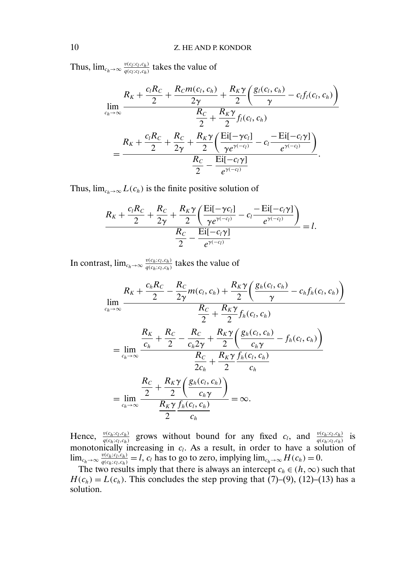Thus,  $\lim_{c_h \to \infty} \frac{v(c_l;c_l,c_h)}{q(c_l;c_l,c_h)}$  $\frac{v(c_l;c_l,c_h)}{q(c_l;c_l,c_h)}$  takes the value of

$$
\lim_{c_h \to \infty} \frac{R_K + \frac{c_l R_C}{2} + \frac{R_C m(c_l, c_h)}{2\gamma} + \frac{R_K \gamma}{2} \left( \frac{g_l(c_l, c_h)}{\gamma} - c_l f_l(c_l, c_h) \right)}{\frac{R_C}{2} + \frac{R_K \gamma}{2} f_l(c_l, c_h)}
$$
\n
$$
= \frac{R_K + \frac{c_l R_C}{2} + \frac{R_C}{2\gamma} + \frac{R_K \gamma}{2} \left( \frac{\text{Ei}[-\gamma c_l]}{\gamma e^{\gamma(-c_l)}} - c_l \frac{-\text{Ei}[-c_l \gamma]}{e^{\gamma(-c_l)}} \right)}{\frac{R_C}{2} - \frac{\text{Ei}[-c_l \gamma]}{e^{\gamma(-c_l)}}}.
$$

Thus,  $\lim_{c_h\to\infty} L(c_h)$  is the finite positive solution of

$$
\frac{R_K+\frac{c_lR_C}{2}+\frac{R_C}{2\gamma}+\frac{R_K\gamma}{2}\left(\frac{\text{Ei}[-\gamma c_l]}{\gamma e^{\gamma(-c_l)}}-c_l\frac{-\text{Ei}[-c_l\gamma]}{e^{\gamma(-c_l)}}\right)}{\frac{R_C}{2}-\frac{\text{Ei}[-c_l\gamma]}{e^{\gamma(-c_l)}}}=l.
$$

In contrast,  $\lim_{c_h \to \infty} \frac{v(c_h;c_l,c_h)}{q(c_h;c_l,c_h)}$  $\frac{v(c_h;c_l,c_h)}{q(c_h;c_l,c_h)}$  takes the value of

$$
\lim_{c_h \to \infty} \frac{R_K + \frac{c_h R_C}{2} - \frac{R_C}{2\gamma} m(c_l, c_h) + \frac{R_K \gamma}{2} \left( \frac{g_h(c_l, c_h)}{\gamma} - c_h f_h(c_l, c_h) \right)}{\frac{R_C}{2} + \frac{R_K \gamma}{2} f_h(c_l, c_h)}
$$
\n
$$
= \lim_{c_h \to \infty} \frac{\frac{R_K}{c_h} + \frac{R_C}{2} - \frac{R_C}{c_h 2\gamma} + \frac{R_K \gamma}{2} \left( \frac{g_h(c_l, c_h)}{c_h \gamma} - f_h(c_l, c_h) \right)}{\frac{R_C}{2c_h} + \frac{R_K \gamma}{2} \frac{f_h(c_l, c_h)}{c_h}}
$$
\n
$$
= \lim_{c_h \to \infty} \frac{\frac{R_C}{2} + \frac{R_K \gamma}{2} \left( \frac{g_h(c_l, c_h)}{c_h \gamma} \right)}{\frac{R_K \gamma}{2} \frac{f_h(c_l, c_h)}{c_h}} = \infty.
$$

Hence,  $\frac{v(c_h; c_l, c_h)}{a(c_l; c_l, c_h)}$  $\frac{v(c_h;c_l,c_l)}{q(c_h;c_l,c_h)}$  grows without bound for any fixed  $c_l$ , and  $\frac{v(c_h;c_l,c_l,c_h)}{q(c_h;c_l,c_h)}$  $rac{v(c_h;c_l,c_h)}{q(c_h;c_l,c_h)}$  is monotonically increasing in  $c_l$ . As a result, in order to have a solution of  $\lim_{c_h \to \infty} \frac{v(c_h;c_l,c_h)}{q(c_h;c_l,c_h)}$  $\frac{v(c_h;c_l,c_l,c_h)}{q(c_h;c_l,c_h)} = l$ ,  $c_l$  has to go to zero, implying  $\lim_{c_h \to \infty} H(c_h) = 0$ .

The two results imply that there is always an intercept  $c_h \in (h, \infty)$  such that  $H(c_h) = L(c_h)$ . This concludes the step proving that (7)–(9), (12)–(13) has a solution.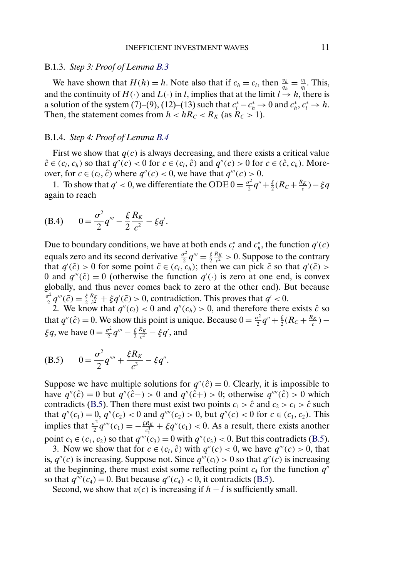## B.1.3. *Step 3: Proof of Lemma [B.3](#page-0-0)*

We have shown that  $H(h) = h$ . Note also that if  $c_h = c_l$ , then  $\frac{v_h}{q_h} = \frac{v_l}{q_l}$ . This, and the continuity of  $H(\cdot)$  and  $L(\cdot)$  in l, implies that at the limit  $l \to h$ , there is a solution of the system (7)–(9), (12)–(13) such that  $c_l^* - c_h^* \to 0$  and  $c_h^*, c_l^* \to h$ . Then, the statement comes from  $h < hR_C < R_K$  (as  $R_C > 1$ ).

#### B.1.4. *Step 4: Proof of Lemma [B.4](#page-0-0)*

First we show that  $q(c)$  is always decreasing, and there exists a critical value  $\hat{c} \in (c_l, c_h)$  so that  $q''(c) < 0$  for  $c \in (c_l, \hat{c})$  and  $q''(c) > 0$  for  $c \in (\hat{c}, c_h)$ . Moreover, for  $c \in (c_l, \hat{c})$  where  $q''(c) < 0$ , we have that  $q'''(c) > 0$ .

1. To show that  $q' < 0$ , we differentiate the ODE  $0 = \frac{\sigma^2}{2}q'' + \frac{\xi}{2}(R_C + \frac{R_K}{c}) - \xi q$ again to reach

(B.4) 
$$
0 = \frac{\sigma^2}{2} q''' - \frac{\xi}{2} \frac{R_K}{c^2} - \xi q'.
$$

Due to boundary conditions, we have at both ends  $c_i^*$  and  $c_i^*$ , the function  $q'(c)$ equals zero and its second derivative  $\frac{\sigma^2}{2}q''' = \frac{\xi}{2} \frac{R_K}{c^2} > 0$ . Suppose to the contrary that  $q'(\tilde{c}) > 0$  for some point  $\tilde{c} \in (c_l, c_h)$ ; then we can pick  $\tilde{c}$  so that  $q'(\tilde{c}) > 0$ 0 and  $q'''(\tilde{c}) = 0$  (otherwise the function  $q'(\cdot)$  is zero at one end, is convex globally, and thus never comes back to zero at the other end). But because  $\frac{\sigma^2}{2}q'''(\tilde{c}) = \frac{\xi}{2} \frac{R_K}{\tilde{c}^2} + \xi q'(\tilde{c}) > 0$ , contradiction. This proves that  $q' < 0$ .

2. We know that  $q''(c_l) < 0$  and  $q''(c_h) > 0$ , and therefore there exists  $\hat{c}$  so that  $q''(\hat{c}) = 0$ . We show this point is unique. Because  $0 = \frac{\sigma^2}{2}q'' + \frac{\xi}{2}(R_C + \frac{R_K}{c})$  –  $\xi q$ , we have  $0 = \frac{\sigma^2}{2} q''' - \frac{\xi R_K}{2 c^2} - \xi q'$ , and

(B.5) 
$$
0 = \frac{\sigma^2}{2} q^{\prime\prime\prime} + \frac{\xi R_K}{c^3} - \xi q^{\prime\prime}.
$$

Suppose we have multiple solutions for  $q''(\hat{c}) = 0$ . Clearly, it is impossible to have  $q''(\hat{c}) = 0$  but  $q''(\hat{c}-) > 0$  and  $q''(\hat{c}+) > 0$ ; otherwise  $q'''(\hat{c}) > 0$  which contradicts (B.5). Then there must exist two points  $c_1 > \hat{c}$  and  $c_2 > c_1 > \hat{c}$  such that  $q''(c_1) = 0$ ,  $q''(c_2) < 0$  and  $q''''(c_2) > 0$ , but  $q''(c) < 0$  for  $c \in (c_1, c_2)$ . This implies that  $\frac{\sigma^2}{2}q''''(c_1) = -\frac{\xi R_K}{c_1^3} + \xi q''(c_1) < 0$ . As a result, there exists another point  $c_3 \in (c_1, c_2)$  so that  $q'''(c_3) = 0$  with  $q''(c_3) < 0$ . But this contradicts (B.5).

3. Now we show that for  $c \in (c_l, \hat{c})$  with  $q''(c) < 0$ , we have  $q'''(c) > 0$ , that is,  $q''(c)$  is increasing. Suppose not. Since  $q'''(c_l) > 0$  so that  $q''(c)$  is increasing at the beginning, there must exist some reflecting point  $c_4$  for the function  $q''$ so that  $q'''(c_4) = 0$ . But because  $q''(c_4) < 0$ , it contradicts (B.5).

Second, we show that  $v(c)$  is increasing if  $h - l$  is sufficiently small.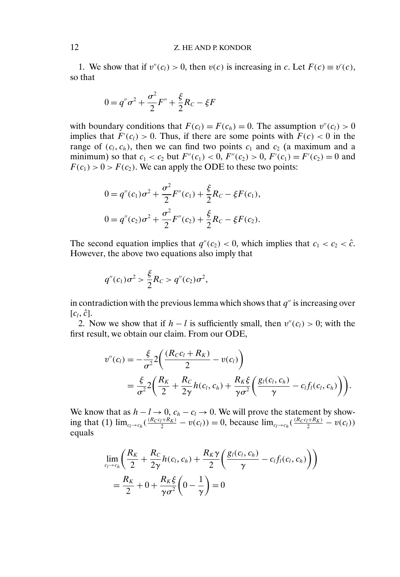## 12 Z. HE AND P. KONDOR

1. We show that if  $v''(c_l) > 0$ , then  $v(c)$  is increasing in c. Let  $F(c) \equiv v'(c)$ , so that

$$
0 = q''\sigma^2 + \frac{\sigma^2}{2}F'' + \frac{\xi}{2}R_C - \xi F
$$

with boundary conditions that  $F(c_l) = F(c_h) = 0$ . The assumption  $v''(c_l) > 0$ implies that  $F'(c_l) > 0$ . Thus, if there are some points with  $F(c) < 0$  in the range of  $(c_l, c_h)$ , then we can find two points  $c_1$  and  $c_2$  (a maximum and a minimum) so that  $c_1 < c_2$  but  $F''(c_1) < 0$ ,  $F''(c_2) > 0$ ,  $F'(c_1) = F'(c_2) = 0$  and  $F(c_1) > 0 > F(c_2)$ . We can apply the ODE to these two points:

$$
0 = q''(c_1)\sigma^2 + \frac{\sigma^2}{2}F''(c_1) + \frac{\xi}{2}R_C - \xi F(c_1),
$$
  

$$
0 = q''(c_2)\sigma^2 + \frac{\sigma^2}{2}F''(c_2) + \frac{\xi}{2}R_C - \xi F(c_2).
$$

The second equation implies that  $q''(c_2) < 0$ , which implies that  $c_1 < c_2 < \hat{c}$ . However, the above two equations also imply that

$$
q''(c_1)\sigma^2 > \frac{\xi}{2}R_C > q''(c_2)\sigma^2,
$$

in contradiction with the previous lemma which shows that  $q''$  is increasing over  $[c_l, \hat{c}].$ 

2. Now we show that if  $h - l$  is sufficiently small, then  $v''(c_l) > 0$ ; with the first result, we obtain our claim. From our ODE,

$$
v''(c_l) = -\frac{\xi}{\sigma^2} 2 \left( \frac{(R_C c_l + R_K)}{2} - v(c_l) \right)
$$
  
=  $\frac{\xi}{\sigma^2} 2 \left( \frac{R_K}{2} + \frac{R_C}{2\gamma} h(c_l, c_h) + \frac{R_K \xi}{\gamma \sigma^2} \left( \frac{g_l(c_l, c_h)}{\gamma} - c_l f_l(c_l, c_h) \right) \right).$ 

We know that as  $h - l \rightarrow 0$ ,  $c_h - c_l \rightarrow 0$ . We will prove the statement by showing that (1)  $\lim_{c_l \to c_h} \left( \frac{(R_C c_l + R_K)}{2} - v(c_l) \right) = 0$ , because  $\lim_{c_l \to c_h} \left( \frac{(R_C c_l + R_K)}{2} - v(c_l) \right)$ equals

$$
\lim_{c_l \to c_h} \left( \frac{R_K}{2} + \frac{R_C}{2\gamma} h(c_l, c_h) + \frac{R_K \gamma}{2} \left( \frac{g_l(c_l, c_h)}{\gamma} - c_l f_l(c_l, c_h) \right) \right)
$$
\n
$$
= \frac{R_K}{2} + 0 + \frac{R_K \xi}{\gamma \sigma^2} \left( 0 - \frac{1}{\gamma} \right) = 0
$$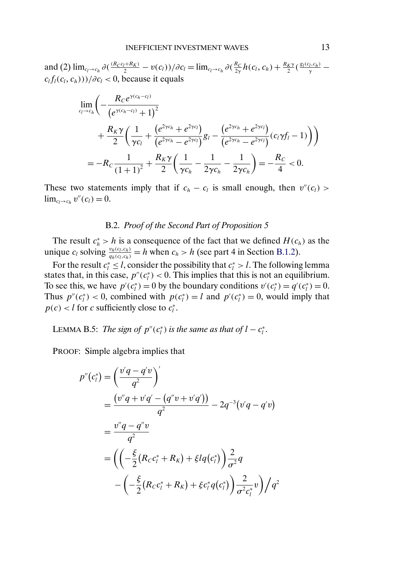and (2)  $\lim_{c_l\to c_h} \partial(\frac{(R_Cc_l+R_K)}{2}-v(c_l))/\partial c_l = \lim_{c_l\to c_h} \partial(\frac{R_C}{2\gamma}h(c_l,c_h)+\frac{R_K\gamma}{2}(\frac{g_l(c_l,c_h)}{\gamma}$  $c_l f_l(c_l, c_h))$ )/∂ $c_l$  < 0, because it equals

$$
\lim_{c_l \to c_h} \left( -\frac{R_C e^{\gamma(c_h - c_l)}}{(e^{\gamma(c_h - c_l)} + 1)^2} + \frac{R_K \gamma}{2} \left( \frac{1}{\gamma c_l} + \frac{(e^{2\gamma c_h} + e^{2\gamma c_l})}{(e^{2\gamma c_h} - e^{2\gamma c_l})} g_l - \frac{(e^{2\gamma c_h} + e^{2\gamma c_l})}{(e^{2\gamma c_h} - e^{2\gamma c_l})} (c_l \gamma f_l - 1) \right) \right)
$$
\n
$$
= -R_C \frac{1}{(1+1)^2} + \frac{R_K \gamma}{2} \left( \frac{1}{\gamma c_h} - \frac{1}{2\gamma c_h} - \frac{1}{2\gamma c_h} \right) = -\frac{R_C}{4} < 0.
$$

These two statements imply that if  $c_h - c_l$  is small enough, then  $v''(c_l)$  >  $\lim_{c_l\to c_h} v''(c_l) = 0.$ 

#### B.2. *Proof of the Second Part of Proposition 5*

The result  $c_h^* > h$  is a consequence of the fact that we defined  $H(c_h)$  as the unique  $c_l$  solving  $\frac{v_h(c_l,c_h)}{a_l(c_l,c_h)}$  $\frac{v_h(c_l,c_h)}{q_h(c_l,c_h)} = h$  when  $c_h > h$  (see part 4 in Section [B.1.2\)](#page-6-0).

For the result  $c_i^* \leq l$ , consider the possibility that  $c_i^* > l$ . The following lemma states that, in this case,  $p''(c_i^*) < 0$ . This implies that this is not an equilibrium. To see this, we have  $p'(c_i^*) = 0$  by the boundary conditions  $v'(c_i^*) = q'(c_i^*) = 0$ . Thus  $p''(c_i^*)$  < 0, combined with  $p(c_i^*) = l$  and  $p'(c_i^*) = 0$ , would imply that  $p(c) < l$  for c sufficiently close to  $c_l^*$ .

LEMMA B.5: *The sign of*  $p''(c_i^*)$  *is the same as that of*  $l - c_i^*$ .

PROOF: Simple algebra implies that

$$
p''(c_i^*) = \left(\frac{v'q - q'v}{q^2}\right)'
$$
  
= 
$$
\frac{(v''q + v'q' - (q''v + v'q'))}{q^2} - 2q^{-3}(v'q - q'v)
$$
  
= 
$$
\frac{v''q - q''v}{q^2}
$$
  
= 
$$
\left(\left(-\frac{\xi}{2}(R_c c_i^* + R_K) + \xi l q(c_i^*)\right)\frac{2}{\sigma^2}q - \left(-\frac{\xi}{2}(R_c c_i^* + R_K) + \xi c_i^* q(c_i^*)\right)\frac{2}{\sigma^2 c_i^*}v\right)/q^2
$$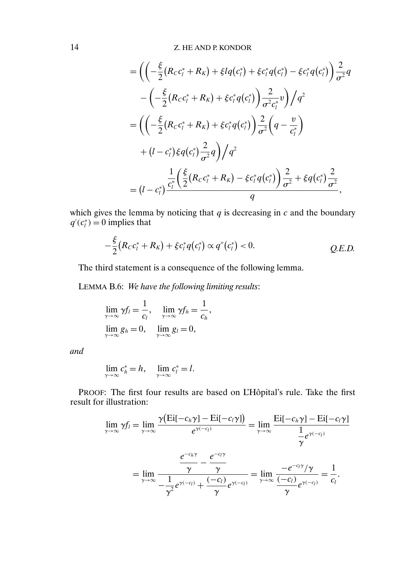14 Z. HE AND P. KONDOR

$$
= \left( \left( -\frac{\xi}{2} (R_C c_l^* + R_K) + \xi l q(c_l^*) + \xi c_l^* q(c_l^*) - \xi c_l^* q(c_l^*) \right) \frac{2}{\sigma^2} q - \left( -\frac{\xi}{2} (R_C c_l^* + R_K) + \xi c_l^* q(c_l^*) \right) \frac{2}{\sigma^2 c_l^*} v \right) / q^2 = \left( \left( -\frac{\xi}{2} (R_C c_l^* + R_K) + \xi c_l^* q(c_l^*) \right) \frac{2}{\sigma^2} \left( q - \frac{v}{c_l^*} \right) + (l - c_l^*) \xi q(c_l^*) \frac{2}{\sigma^2} q \right) / q^2 = (l - c_l^*) \frac{\frac{1}{c_l^*} \left( \frac{\xi}{2} (R_C c_l^* + R_K) - \xi c_l^* q(c_l^*) \right) \frac{2}{\sigma^2} + \xi q(c_l^*) \frac{2}{\sigma^2}}{q},
$$

which gives the lemma by noticing that  $q$  is decreasing in  $c$  and the boundary  $q'(c_i^*) = 0$  implies that

$$
-\frac{\xi}{2}(R_{C}c_{l}^{*}+R_{K})+\xi c_{l}^{*}q(c_{l}^{*})\propto q''(c_{l}^{*})<0.
$$
 Q.E.D.

The third statement is a consequence of the following lemma.

LEMMA B.6: *We have the following limiting results*:

$$
\lim_{\gamma \to \infty} \gamma f_l = \frac{1}{c_l}, \quad \lim_{\gamma \to \infty} \gamma f_h = \frac{1}{c_h},
$$
  

$$
\lim_{\gamma \to \infty} g_h = 0, \quad \lim_{\gamma \to \infty} g_l = 0,
$$

*and*

$$
\lim_{\gamma \to \infty} c_h^* = h, \quad \lim_{\gamma \to \infty} c_l^* = l.
$$

PROOF: The first four results are based on L'Hôpital's rule. Take the first result for illustration:

$$
\lim_{\gamma \to \infty} \gamma f_l = \lim_{\gamma \to \infty} \frac{\gamma \left( \text{Ei}[-c_h \gamma] - \text{Ei}[-c_l \gamma] \right)}{e^{\gamma (-c_l)}} = \lim_{\gamma \to \infty} \frac{\text{Ei}[-c_h \gamma] - \text{Ei}[-c_l \gamma]}{\frac{1}{\gamma}e^{\gamma (-c_l)}}
$$
\n
$$
= \lim_{\gamma \to \infty} \frac{\frac{e^{-c_h \gamma}}{\gamma} - \frac{e^{-c_l \gamma}}{\gamma}}{-\frac{1}{\gamma^2}e^{\gamma (-c_l)} + \frac{(-c_l)}{\gamma}e^{\gamma (-c_l)}} = \lim_{\gamma \to \infty} \frac{-e^{-c_l \gamma}/\gamma}{\frac{(-c_l)}{\gamma}e^{\gamma (-c_l)}} = \frac{1}{c_l}.
$$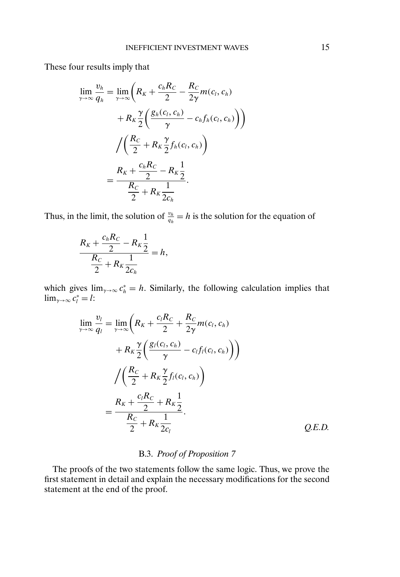These four results imply that

$$
\lim_{\gamma \to \infty} \frac{v_h}{q_h} = \lim_{\gamma \to \infty} \left( R_K + \frac{c_h R_C}{2} - \frac{R_C}{2\gamma} m(c_l, c_h) + R_K \frac{\gamma}{2} \left( \frac{g_h(c_l, c_h)}{\gamma} - c_h f_h(c_l, c_h) \right) \right)
$$

$$
= \frac{R_C}{2} + R_K \frac{\gamma}{2} f_h(c_l, c_h) + \frac{c_h R_C}{2} - R_K \frac{1}{2}
$$

$$
= \frac{R_C}{2} + R_K \frac{1}{2c_h}.
$$

Thus, in the limit, the solution of  $\frac{v_h}{q_h} = h$  is the solution for the equation of

$$
\frac{R_K + \frac{c_h R_C}{2} - R_K \frac{1}{2}}{\frac{R_C}{2} + R_K \frac{1}{2c_h}} = h,
$$

which gives  $\lim_{\gamma \to \infty} c_h^* = h$ . Similarly, the following calculation implies that  $\lim_{\gamma \to \infty} c_l^* = l$ :

$$
\lim_{\gamma \to \infty} \frac{v_l}{q_l} = \lim_{\gamma \to \infty} \left( R_K + \frac{c_l R_C}{2} + \frac{R_C}{2\gamma} m(c_l, c_h) + R_K \frac{\gamma}{2} \left( \frac{g_l(c_l, c_h)}{\gamma} - c_l f_l(c_l, c_h) \right) \right)
$$
\n
$$
= \frac{R_C}{2} + R_K \frac{\gamma}{2} f_l(c_l, c_h) + R_K \frac{\gamma}{2} f_l(c_l, c_h) + R_K \frac{\gamma}{2} f_l(c_l, c_h) + R_K \frac{\gamma}{2} f_l(c_l, c_h) + R_K \frac{\gamma}{2} f_l(c_l, c_h) + R_K \frac{\gamma}{2} f_l(c_l, c_h) + R_K \frac{\gamma}{2} f_l(c_l, c_h) + R_K \frac{\gamma}{2} f_l(c_l, c_h) + R_K \frac{\gamma}{2} f_l(c_l, c_h) + R_K \frac{\gamma}{2} f_l(c_l, c_h) + R_K \frac{\gamma}{2} f_l(c_l, c_h) + R_K \frac{\gamma}{2} f_l(c_l, c_h) + R_K \frac{\gamma}{2} f_l(c_l, c_h) + R_K \frac{\gamma}{2} f_l(c_l, c_h) + R_K \frac{\gamma}{2} f_l(c_l, c_h) + R_K \frac{\gamma}{2} f_l(c_l, c_h) + R_K \frac{\gamma}{2} f_l(c_l, c_h) + R_K \frac{\gamma}{2} f_l(c_l, c_h) + R_K \frac{\gamma}{2} f_l(c_l, c_h) + R_K \frac{\gamma}{2} f_l(c_l, c_h) + R_K \frac{\gamma}{2} f_l(c_l, c_h) + R_K \frac{\gamma}{2} f_l(c_l, c_h) + R_K \frac{\gamma}{2} f_l(c_l, c_h) + R_K \frac{\gamma}{2} f_l(c_l, c_h) + R_K \frac{\gamma}{2} f_l(c_l, c_h) + R_K \frac{\gamma}{2} f_l(c_l, c_h) + R_K \frac{\gamma}{2} f_l(c_l, c_h) + R_K \frac{\gamma}{2} f_l(c_l, c_h) + R_K \frac{\gamma}{2} f_l(c_l, c_h) + R_K \frac{\gamma}{2} f_l(c_l, c_h) + R_K \frac{\gamma}{2} f_l(c_l, c_h) + R_K \frac{\gamma}{2} f_l(c_l, c_h) + R_K \frac{\gamma}{2} f_l(c_l, c_h) + R_K \frac{\gamma}{2} f_l(c_l, c_h) + R_K \frac{\gamma}{2} f_l(c_l, c_h) + R
$$

# B.3. *Proof of Proposition 7*

The proofs of the two statements follow the same logic. Thus, we prove the first statement in detail and explain the necessary modifications for the second statement at the end of the proof.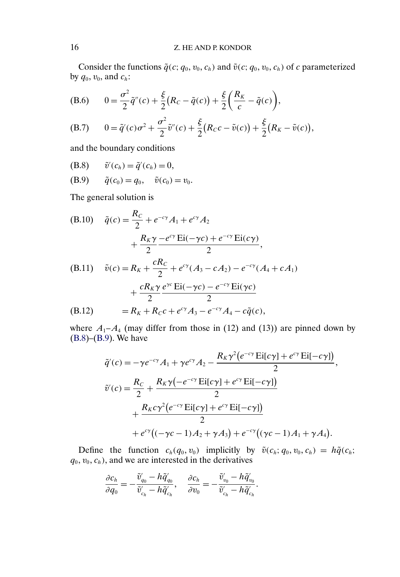<span id="page-15-0"></span>Consider the functions  $\tilde{q}(c; q_0, v_0, c_h)$  and  $\tilde{v}(c; q_0, v_0, c_h)$  of c parameterized by  $q_0$ ,  $v_0$ , and  $c_h$ :

(B.6) 
$$
0 = \frac{\sigma^2}{2}\tilde{q}''(c) + \frac{\xi}{2}(R_c - \tilde{q}(c)) + \frac{\xi}{2}\bigg(\frac{R_K}{c} - \tilde{q}(c)\bigg),
$$

(B.7) 
$$
0 = \tilde{q}'(c)\sigma^2 + \frac{\sigma^2}{2}\tilde{v}''(c) + \frac{\xi}{2}(R_Cc - \tilde{v}(c)) + \frac{\xi}{2}(R_K - \tilde{v}(c)),
$$

and the boundary conditions

(B.8) 
$$
\tilde{v}'(c_h) = \tilde{q}'(c_h) = 0,
$$

(B.9) 
$$
\tilde{q}(c_0) = q_0, \quad \tilde{v}(c_0) = v_0.
$$

The general solution is

(B.10) 
$$
\tilde{q}(c) = \frac{R_c}{2} + e^{-c\gamma} A_1 + e^{c\gamma} A_2 + \frac{R_K \gamma - e^{c\gamma} \text{Ei}(-\gamma c) + e^{-c\gamma} \text{Ei}(c\gamma)}{2},
$$
  
(B.11) 
$$
\tilde{v}(c) = R_K + \frac{cR_C}{2} + e^{c\gamma} (A_3 - cA_2) - e^{-c\gamma} (A_4 + cA_1) + \frac{cR_K \gamma e^{\gamma c} \text{Ei}(-\gamma c) - e^{-c\gamma} \text{Ei}(\gamma c)}{2}
$$
  
(B.12) 
$$
= R_K + R_C c + e^{c\gamma} A_3 - e^{-c\gamma} A_4 - c\tilde{q}(c),
$$

where  $A_1 - A_4$  (may differ from those in (12) and (13)) are pinned down by (B.8)–(B.9). We have

$$
\tilde{q}'(c) = -\gamma e^{-c\gamma} A_1 + \gamma e^{c\gamma} A_2 - \frac{R_K \gamma^2 (e^{-c\gamma} \operatorname{Ei}[c\gamma] + e^{c\gamma} \operatorname{Ei}[-c\gamma])}{2},
$$
  

$$
\tilde{v}'(c) = \frac{R_C}{2} + \frac{R_K \gamma (-e^{-c\gamma} \operatorname{Ei}[c\gamma] + e^{c\gamma} \operatorname{Ei}[-c\gamma])}{2}
$$

$$
+ \frac{R_K c \gamma^2 (e^{-c\gamma} \operatorname{Ei}[c\gamma] + e^{c\gamma} \operatorname{Ei}[-c\gamma])}{2}
$$

$$
+ e^{c\gamma} ((-\gamma c - 1) A_2 + \gamma A_3) + e^{-c\gamma} ((\gamma c - 1) A_1 + \gamma A_4).
$$

Define the function  $c_h(q_0, v_0)$  implicitly by  $\tilde{v}(c_h; q_0, v_0, c_h) = h\tilde{q}(c_h;$  $q_0, v_0, c_h$ , and we are interested in the derivatives

$$
\frac{\partial c_h}{\partial q_0} = -\frac{\tilde{v}'_{q_0} - h\tilde{q}'_{q_0}}{\tilde{v}'_{c_h} - h\tilde{q}'_{c_h}}, \quad \frac{\partial c_h}{\partial v_0} = -\frac{\tilde{v}'_{v_0} - h\tilde{q}'_{v_0}}{\tilde{v}'_{c_h} - h\tilde{q}'_{c_h}}.
$$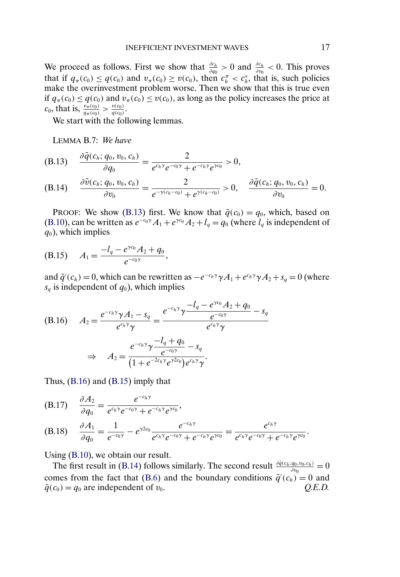<span id="page-16-0"></span>We proceed as follows. First we show that  $\frac{\partial c_h}{\partial q_0} > 0$  and  $\frac{\partial c_h}{\partial v_0} < 0$ . This proves that if  $q_{\pi}(c_0) \leq q(c_0)$  and  $v_{\pi}(c_0) \geq v(c_0)$ , then  $c_n^{\pi} < c_n^*$ , that is, such policies make the overinvestment problem worse. Then we show that this is true even if  $q_{\pi}(c_0) \leq q(c_0)$  and  $v_{\pi}(c_0) \leq v(c_0)$ , as long as the policy increases the price at  $c_0$ , that is,  $\frac{v_\pi(c_0)}{q_\pi(c_0)} > \frac{v(c_0)}{q(c_0)}$ .

We start with the following lemmas.

LEMMA B.7: *We have*

(B.13) 
$$
\frac{\partial \tilde{q}(c_h; q_0, v_0, c_h)}{\partial q_0} = \frac{2}{e^{c_h \gamma} e^{-c_0 \gamma} + e^{-c_h \gamma} e^{\gamma c_0}} > 0,
$$

(B.14) 
$$
\frac{\partial \tilde{v}(c_h; q_0, v_0, c_h)}{\partial v_0} = \frac{2}{e^{-\gamma(c_h - c_0)} + e^{\gamma(c_h - c_0)}} > 0, \quad \frac{\partial \tilde{q}(c_h; q_0, v_0, c_h)}{\partial v_0} = 0.
$$

PROOF: We show (B.13) first. We know that  $\tilde{q}(c_0) = q_0$ , which, based on [\(B.10\)](#page-15-0), can be written as  $e^{-c_0\gamma}A_1 + e^{\gamma c_0}A_2 + l_q = q_0$  (where  $l_q$  is independent of  $q_0$ ), which implies

(B.15) 
$$
A_1 = \frac{-l_q - e^{\gamma c_0} A_2 + q_0}{e^{-c_0 \gamma}},
$$

and  $\tilde{q}'(c_h) = 0$ , which can be rewritten as  $-e^{-c_h\gamma}\gamma A_1 + e^{c_h\gamma}\gamma A_2 + s_q = 0$  (where  $s_q$  is independent of  $q_0$ ), which implies

(B.16) 
$$
A_{2} = \frac{e^{-c_{h}\gamma}\gamma A_{1} - s_{q}}{e^{c_{h}\gamma}\gamma} = \frac{e^{-c_{h}\gamma}\gamma \frac{-l_{q} - e^{\gamma c_{0}}A_{2} + q_{0}}{e^{-c_{0}\gamma}} - s_{q}}{e^{c_{h}\gamma}\gamma}
$$

$$
\Rightarrow A_{2} = \frac{e^{-c_{h}\gamma}\gamma \frac{-l_{q} + q_{0}}{e^{-c_{0}\gamma}} - s_{q}}{(1 + e^{-2c_{h}\gamma}e^{\gamma 2c_{0}})e^{c_{h}\gamma}\gamma}.
$$

Thus, (B.16) and (B.15) imply that

(B.17) 
$$
\frac{\partial A_2}{\partial q_0} = \frac{e^{-c_h \gamma}}{e^{c_h \gamma} e^{-c_0 \gamma} + e^{-c_h \gamma} e^{\gamma c_0}},
$$

(B.18) 
$$
\frac{\partial A_1}{\partial q_0} = \frac{1}{e^{-c_0 \gamma}} - e^{\gamma 2 c_0} \frac{e^{-c_h \gamma}}{e^{c_h \gamma} e^{-c_0 \gamma} + e^{-c_h \gamma} e^{\gamma c_0}} = \frac{e^{c_h \gamma}}{e^{c_h \gamma} e^{-c_0 \gamma} + e^{-c_h \gamma} e^{\gamma c_0}}.
$$

Using [\(B.10\)](#page-15-0), we obtain our result.

The first result in (B.14) follows similarly. The second result  $\frac{\partial \tilde{q}(c_h; q_0, v_0, c_h)}{\partial v_0} = 0$ comes from the fact that [\(B.6\)](#page-15-0) and the boundary conditions  $\tilde{q}'(c_h) = 0$  and  $\tilde{q}(c_0) = q_0$  are independent of  $v_0$ .  $Q.E.D.$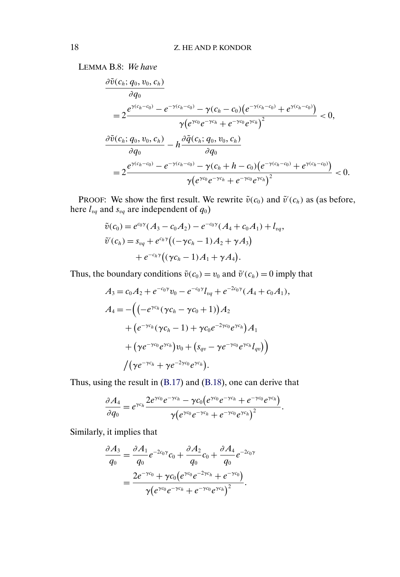LEMMA B.8: *We have*

$$
\frac{\partial \tilde{v}(c_h; q_0, v_0, c_h)}{\partial q_0} = 2 \frac{e^{\gamma(c_h - c_0)} - e^{-\gamma(c_h - c_0)} - \gamma(c_h - c_0)(e^{-\gamma(c_h - c_0)} + e^{\gamma(c_h - c_0)})}{\gamma(e^{\gamma c_0}e^{-\gamma c_h} + e^{-\gamma c_0}e^{\gamma c_h})^2} < 0,
$$
  

$$
\frac{\partial \tilde{v}(c_h; q_0, v_0, c_h)}{\partial q_0} - h \frac{\partial \tilde{q}(c_h; q_0, v_0, c_h)}{\partial q_0}
$$

$$
= 2 \frac{e^{\gamma(c_h - c_0)} - e^{-\gamma(c_h - c_0)} - \gamma(c_h + h - c_0)(e^{-\gamma(c_h - c_0)} + e^{\gamma(c_h - c_0)})}{\gamma(e^{\gamma c_0}e^{-\gamma c_h} + e^{-\gamma c_0}e^{\gamma c_h})^2} < 0.
$$

PROOF: We show the first result. We rewrite  $\tilde{v}(c_0)$  and  $\tilde{v}'(c_h)$  as (as before, here  $l_{vq}$  and  $s_{vq}$  are independent of  $q_0$ )

$$
\tilde{v}(c_0) = e^{c_0 \gamma} (A_3 - c_0 A_2) - e^{-c_0 \gamma} (A_4 + c_0 A_1) + l_{\nu q},
$$
  
\n
$$
\tilde{v}'(c_h) = s_{\nu q} + e^{c_h \gamma} ((-\gamma c_h - 1) A_2 + \gamma A_3)
$$
  
\n
$$
+ e^{-c_h \gamma} ((\gamma c_h - 1) A_1 + \gamma A_4).
$$

Thus, the boundary conditions  $\tilde{v}(c_0) = v_0$  and  $\tilde{v}'(c_h) = 0$  imply that

$$
A_3 = c_0 A_2 + e^{-c_0 \gamma} v_0 - e^{-c_0 \gamma} l_{vq} + e^{-2c_0 \gamma} (A_4 + c_0 A_1),
$$
  
\n
$$
A_4 = -\Big( \Big( -e^{\gamma c_h} (\gamma c_h - \gamma c_0 + 1) \Big) A_2 + \Big( e^{-\gamma c_h} (\gamma c_h - 1) + \gamma c_0 e^{-2\gamma c_0} e^{\gamma c_h} \Big) A_1 + \Big( \gamma e^{-\gamma c_0} e^{\gamma c_h} \Big) v_0 + \Big( s_{qv} - \gamma e^{-\gamma c_0} e^{\gamma c_h} l_{qv} \Big) \Big) + \Big( \gamma e^{-\gamma c_h} + \gamma e^{-2\gamma c_0} e^{\gamma c_h} \Big).
$$

Thus, using the result in [\(B.17\)](#page-16-0) and [\(B.18\)](#page-16-0), one can derive that

$$
\frac{\partial A_4}{\partial q_0} = e^{\gamma c_h} \frac{2e^{\gamma c_0} e^{-\gamma c_h} - \gamma c_0 (e^{\gamma c_0} e^{-\gamma c_h} + e^{-\gamma c_0} e^{\gamma c_h})}{\gamma (e^{\gamma c_0} e^{-\gamma c_h} + e^{-\gamma c_0} e^{\gamma c_h})^2}.
$$

Similarly, it implies that

$$
\frac{\partial A_3}{q_0} = \frac{\partial A_1}{q_0} e^{-2c_0\gamma} c_0 + \frac{\partial A_2}{q_0} c_0 + \frac{\partial A_4}{q_0} e^{-2c_0\gamma} \n= \frac{2e^{-\gamma c_0} + \gamma c_0 (e^{\gamma c_0} e^{-2\gamma c_h} + e^{-\gamma c_0})}{\gamma (e^{\gamma c_0} e^{-\gamma c_h} + e^{-\gamma c_0} e^{\gamma c_h})^2}.
$$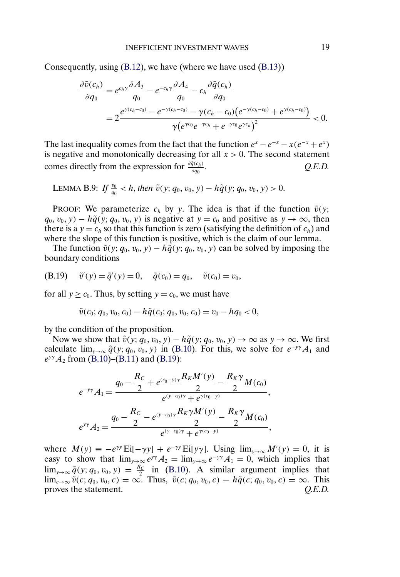Consequently, using [\(B.12\)](#page-15-0), we have (where we have used [\(B.13\)](#page-16-0))

$$
\frac{\partial \tilde{v}(c_h)}{\partial q_0} = e^{c_h \gamma} \frac{\partial A_3}{q_0} - e^{-c_h \gamma} \frac{\partial A_4}{q_0} - c_h \frac{\partial \tilde{q}(c_h)}{\partial q_0} \n= 2 \frac{e^{\gamma (c_h - c_0)} - e^{-\gamma (c_h - c_0)} - \gamma (c_h - c_0) (e^{-\gamma (c_h - c_0)} + e^{\gamma (c_h - c_0)})}{\gamma (e^{\gamma c_0} e^{-\gamma c_h} + e^{-\gamma c_0} e^{\gamma c_h})^2} < 0.
$$

The last inequality comes from the fact that the function  $e^x - e^{-x} - x(e^{-x} + e^x)$ is negative and monotonically decreasing for all  $x > 0$ . The second statement comes directly from the expression for  $\frac{\partial \tilde{q}(c_h)}{\partial q_h}$ .  $$ 

LEMMA B.9: *If*  $\frac{v_0}{q_0} < h$ , *then*  $\tilde{v}(y; q_0, v_0, y) - h\tilde{q}(y; q_0, v_0, y) > 0$ .

PROOF: We parameterize  $c_h$  by y. The idea is that if the function  $\tilde{v}(y;$  $q_0, v_0, y$  –  $h\tilde{q}(y; q_0, v_0, y)$  is negative at  $y = c_0$  and positive as  $y \to \infty$ , then there is a  $y = c_h$  so that this function is zero (satisfying the definition of  $c_h$ ) and where the slope of this function is positive, which is the claim of our lemma.

The function  $\tilde{v}(y; q_0, v_0, y) - h\tilde{q}(y; q_0, v_0, y)$  can be solved by imposing the boundary conditions

(B.19) 
$$
\tilde{v}'(y) = \tilde{q}'(y) = 0, \quad \tilde{q}(c_0) = q_0, \quad \tilde{v}(c_0) = v_0,
$$

for all  $y \ge c_0$ . Thus, by setting  $y = c_0$ , we must have

$$
\tilde{v}(c_0; q_0, v_0, c_0) - h\tilde{q}(c_0; q_0, v_0, c_0) = v_0 - hq_0 < 0,
$$

by the condition of the proposition.

Now we show that  $\tilde{v}(y; q_0, v_0, y) - h\tilde{q}(y; q_0, v_0, y) \to \infty$  as  $y \to \infty$ . We first calculate  $\lim_{y\to\infty} \tilde{q}(y; q_0, v_0, y)$  in [\(B.10\)](#page-15-0). For this, we solve for  $e^{-yy}A_1$  and  $e^{y\gamma}A_2$  from [\(B.10\)](#page-15-0)–[\(B.11\)](#page-15-0) and (B.19):

$$
e^{-y\gamma} A_1 = \frac{q_0 - \frac{R_C}{2} + e^{(c_0 - y)\gamma} \frac{R_K M'(y)}{2} - \frac{R_K \gamma}{2} M(c_0)}{e^{(y - c_0)\gamma} + e^{\gamma(c_0 - y)}},
$$
  

$$
e^{y\gamma} A_2 = \frac{q_0 - \frac{R_C}{2} - e^{(y - c_0)\gamma} \frac{R_K \gamma M'(y)}{2} - \frac{R_K \gamma}{2} M(c_0)}{e^{(y - c_0)\gamma} + e^{\gamma(c_0 - y)}},
$$

where  $M(y) \equiv -e^{\gamma y} Ei[-\gamma y] + e^{-\gamma y} Ei[y\gamma]$ . Using  $\lim_{y\to\infty} M'(y) = 0$ , it is easy to show that  $\lim_{y\to\infty}e^{y\gamma}A_2 = \lim_{y\to\infty}e^{-y\gamma}A_1 = 0$ , which implies that  $\lim_{y\to\infty} \tilde{q}(y; q_0, v_0, y) = \frac{R_C}{2}$  in [\(B.10\)](#page-15-0). A similar argument implies that  $\lim_{c\to\infty} \tilde{v}(c; q_0, v_0, c) = \infty$ . Thus,  $\tilde{v}(c; q_0, v_0, c) - h\tilde{q}(c; q_0, v_0, c) = \infty$ . This proves the statement.  $Q.E.D.$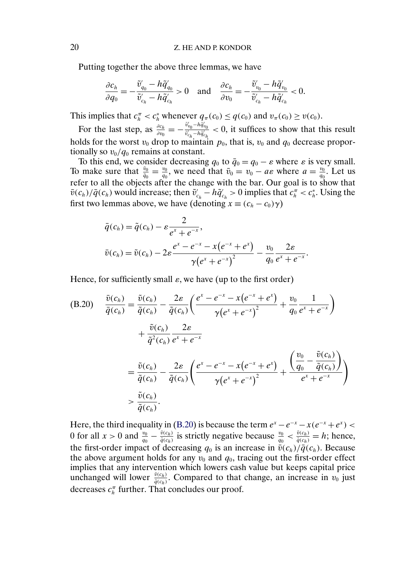Putting together the above three lemmas, we have

$$
\frac{\partial c_h}{\partial q_0} = -\frac{\tilde{v}_{q_0}' - h\tilde{q}_{q_0}'}{\tilde{v}_{c_h}' - h\tilde{q}_{c_h}'} > 0 \quad \text{and} \quad \frac{\partial c_h}{\partial v_0} = -\frac{\tilde{v}_{v_0}' - h\tilde{q}_{v_0}'}{\tilde{v}_{c_h}' - h\tilde{q}_{c_h}'} < 0.
$$

This implies that  $c_n^{\pi} < c_h^*$  whenever  $q_{\pi}(c_0) \leq q(c_0)$  and  $v_{\pi}(c_0) \geq v(c_0)$ .

For the last step, as  $\frac{\partial c_h}{\partial v_0} = -\frac{\tilde{v}_{v_0}' - h\tilde{q}_{v_0}'}{\tilde{v}_{c_h}' - h\tilde{q}_{c_h}'} < 0$ , it suffices to show that this result holds for the worst  $v_0$  drop to maintain  $p_0$ , that is,  $v_0$  and  $q_0$  decrease proportionally so  $v_0/q_0$  remains at constant.

To this end, we consider decreasing  $q_0$  to  $\bar{q}_0 = q_0 - \varepsilon$  where  $\varepsilon$  is very small. To make sure that  $\frac{\bar{v}_0}{\bar{q}_0} = \frac{v_0}{q_0}$ , we need that  $\bar{v}_0 = v_0 - a\varepsilon$  where  $a = \frac{v_0}{q_0}$ . Let us refer to all the objects after the change with the bar. Our goal is to show that  $\bar{v}(c_h)/\bar{q}(c_h)$  would increase; then  $\tilde{v}'_{c_h} - h\tilde{q}'_{c_h} > 0$  implies that  $c_h^{\pi} < c_h^*$ . Using the first two lemmas above, we have (denoting  $x \equiv (c_h - c_0)\gamma$ )

$$
\bar{q}(c_h) = \tilde{q}(c_h) - \varepsilon \frac{2}{e^x + e^{-x}},
$$
  

$$
\bar{v}(c_h) = \tilde{v}(c_h) - 2\varepsilon \frac{e^x - e^{-x} - x(e^{-x} + e^x)}{\gamma (e^x + e^{-x})^2} - \frac{v_0}{q_0} \frac{2\varepsilon}{e^x + e^{-x}}.
$$

Hence, for sufficiently small  $\varepsilon$ , we have (up to the first order)

$$
(B.20) \frac{\bar{v}(c_h)}{\bar{q}(c_h)} = \frac{\tilde{v}(c_h)}{\tilde{q}(c_h)} - \frac{2\varepsilon}{\tilde{q}(c_h)} \left(\frac{e^x - e^{-x} - x(e^{-x} + e^x)}{\gamma(e^x + e^{-x})^2} + \frac{v_0}{q_0} \frac{1}{e^x + e^{-x}}\right)
$$

$$
+ \frac{\tilde{v}(c_h)}{\tilde{q}^2(c_h)} \frac{2\varepsilon}{e^x + e^{-x}}
$$

$$
= \frac{\tilde{v}(c_h)}{\tilde{q}(c_h)} - \frac{2\varepsilon}{\tilde{q}(c_h)} \left(\frac{e^x - e^{-x} - x(e^{-x} + e^x)}{\gamma(e^x + e^{-x})^2} + \frac{\left(\frac{v_0}{q_0} - \frac{\tilde{v}(c_h)}{\tilde{q}(c_h)}\right)}{e^x + e^{-x}}\right)
$$

$$
> \frac{\tilde{v}(c_h)}{\tilde{q}(c_h)}.
$$

Here, the third inequality in (B.20) is because the term  $e^x - e^{-x} - x(e^{-x} + e^x)$ 0 for all  $x > 0$  and  $\frac{v_0}{q_0} - \frac{\tilde{v}(c_h)}{\tilde{q}(c_h)}$  is strictly negative because  $\frac{v_0}{q_0} < \frac{\tilde{v}(c_h)}{\tilde{q}(c_h)} = h$ ; hence, the first-order impact of decreasing  $q_0$  is an increase in  $\overline{\tilde{v}(c_h)}/\overline{\tilde{q}(c_h)}$ . Because the above argument holds for any  $v_0$  and  $q_0$ , tracing out the first-order effect implies that any intervention which lowers cash value but keeps capital price unchanged will lower  $\frac{\bar{v}(c_h)}{\bar{q}(c_h)}$ . Compared to that change, an increase in  $v_0$  just decreases  $c_n^{\pi}$  further. That concludes our proof.

<span id="page-19-0"></span>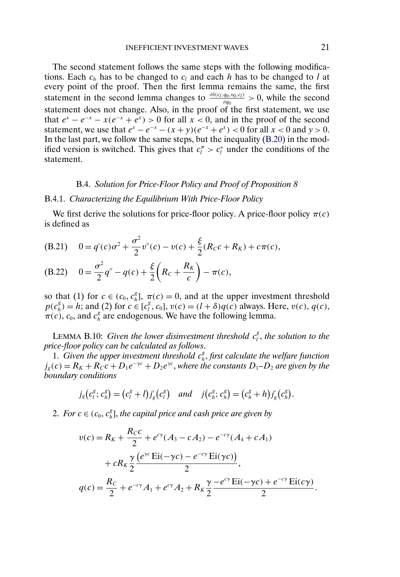<span id="page-20-0"></span>The second statement follows the same steps with the following modifications. Each  $c_h$  has to be changed to  $c_l$  and each h has to be changed to l at every point of the proof. Then the first lemma remains the same, the first statement in the second lemma changes to  $\frac{\partial \tilde{v}(c_i; q_0, v_0, c_i)}{\partial q_0} > 0$ , while the second statement does not change. Also, in the proof of the first statement, we use that  $e^x - e^{-x} - x(e^{-x} + e^x) > 0$  for all  $x < 0$ , and in the proof of the second statement, we use that  $e^x - e^{-x} - (x + y)(e^{-x} + e^x) < 0$  for all  $x < 0$  and  $y > 0$ . In the last part, we follow the same steps, but the inequality [\(B.20\)](#page-19-0) in the modified version is switched. This gives that  $c_l^{\pi} > c_l^*$  under the conditions of the statement.

#### B.4. *Solution for Price-Floor Policy and Proof of Proposition 8*

#### B.4.1. *Characterizing the Equilibrium With Price-Floor Policy*

We first derive the solutions for price-floor policy. A price-floor policy  $\pi(c)$ is defined as

(B.21) 
$$
0 = q'(c)\sigma^2 + \frac{\sigma^2}{2}v''(c) - v(c) + \frac{\xi}{2}(R_Cc + R_K) + c\pi(c),
$$

(B.22) 
$$
0 = \frac{\sigma^2}{2}q'' - q(c) + \frac{\xi}{2}\left(R_c + \frac{R_K}{c}\right) - \pi(c),
$$

so that (1) for  $c \in (c_0, c_h^g]$ ,  $\pi(c) = 0$ , and at the upper investment threshold  $p(c_h^g) = h$ ; and (2) for  $c \in [c_l^g, c_0]$ ,  $v(c) = (l + \delta)q(c)$  always. Here,  $v(c)$ ,  $q(c)$ ,  $\pi(c)$ ,  $c_0$ , and  $c_h^g$  are endogenous. We have the following lemma.

LEMMA B.10: *Given the lower disinvestment threshold*  $c_l^s$ *, the solution to the price-floor policy can be calculated as follows*.

1. Given the upper investment threshold  $c_h^g$ , first calculate the welfare function  $j_g(c) = R_K + R_Cc + D_1e^{-\gamma c} + D_2e^{\gamma c}$ , *where the constants*  $D_1 - D_2$  *are given by the boundary conditions*

$$
j_g(c_i^g; c_h^g) = (c_i^g + l)j'_g(c_i^g)
$$
 and  $j(c_h^g; c_h^g) = (c_h^g + h)j'_g(c_h^g)$ .

2. For  $c \in (c_0, c_h^g]$ , the capital price and cash price are given by

$$
v(c) = R_K + \frac{R_C c}{2} + e^{c\gamma} (A_3 - cA_2) - e^{-c\gamma} (A_4 + cA_1)
$$
  
+ 
$$
cR_K \frac{\gamma}{2} \frac{(e^{\gamma c} \text{Ei}(-\gamma c) - e^{-c\gamma} \text{Ei}(\gamma c))}{2},
$$
  

$$
q(c) = \frac{R_C}{2} + e^{-c\gamma} A_1 + e^{c\gamma} A_2 + R_K \frac{\gamma}{2} \frac{-e^{c\gamma} \text{Ei}(-\gamma c) + e^{-c\gamma} \text{Ei}(c\gamma)}{2}.
$$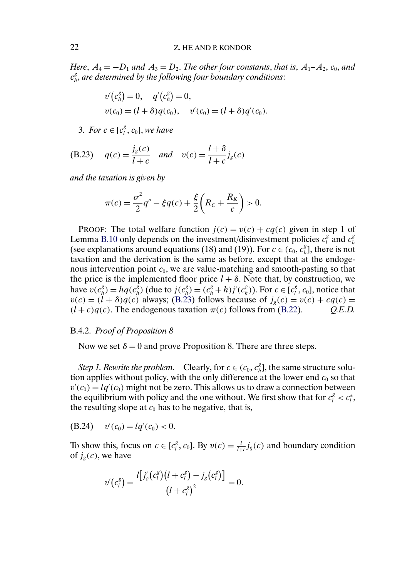<span id="page-21-0"></span>*Here*,  $A_4 = -D_1$  *and*  $A_3 = D_2$ *. The other four constants, that is,*  $A_1 - A_2$ *, c<sub>0</sub>, and* c g <sup>h</sup>, *are determined by the following four boundary conditions*:

$$
v'(c_h^g) = 0, \quad q'(c_h^g) = 0,
$$
  
\n
$$
v(c_0) = (l + \delta)q(c_0), \quad v'(c_0) = (l + \delta)q'(c_0).
$$

3. *For*  $c \in [c_l^g, c_0]$ , *we have* 

(B.23) 
$$
q(c) = \frac{j_g(c)}{l+c}
$$
 and  $v(c) = \frac{l+\delta}{l+c}j_g(c)$ 

*and the taxation is given by*

$$
\pi(c) = \frac{\sigma^2}{2}q'' - \xi q(c) + \frac{\xi}{2}\bigg(R_c + \frac{R_K}{c}\bigg) > 0.
$$

PROOF: The total welfare function  $j(c) = v(c) + cq(c)$  given in step 1 of Lemma [B.10](#page-20-0) only depends on the investment/disinvestment policies  $c_l^g$  and  $c_h^g$ h (see explanations around equations (18) and (19)). For  $c \in (c_0, c_h^g]$ , there is not taxation and the derivation is the same as before, except that at the endogenous intervention point  $c_0$ , we are value-matching and smooth-pasting so that the price is the implemented floor price  $l + \delta$ . Note that, by construction, we have  $v(c_h^g) = hq(c_h^g)$  (due to  $j(c_h^g) = (c_h^g + h)j'(c_h^g)$ ). For  $c \in [c_l^g, c_0]$ , notice that  $v(c) = (l + \delta)q(c)$  always; (B.23) follows because of  $j_e(c) = v(c) + cq(c)$  $(l + c)q(c)$ . The endogenous taxation  $\pi(c)$  follows from [\(B.22\)](#page-20-0).  $Q.E.D.$ 

#### B.4.2. *Proof of Proposition 8*

Now we set  $\delta = 0$  and prove Proposition 8. There are three steps.

*Step 1. Rewrite the problem.* Clearly, for  $c \in (c_0, c_h^g]$ , the same structure solution applies without policy, with the only difference at the lower end  $c_0$  so that  $v'(c_0) = lq'(c_0)$  might not be zero. This allows us to draw a connection between the equilibrium with policy and the one without. We first show that for  $c_l^g < c_l^*$ , the resulting slope at  $c_0$  has to be negative, that is,

(B.24)  $v'(c_0) = lq'(c_0) < 0.$ 

To show this, focus on  $c \in [c_l^g, c_0]$ . By  $v(c) = \frac{l}{l+c} j_g(c)$  and boundary condition of  $j_g(c)$ , we have

$$
v'(c_l^g) = \frac{l[j'_g(c_l^g)(l+c_l^g) - j_g(c_l^g)]}{(l+c_l^g)^2} = 0.
$$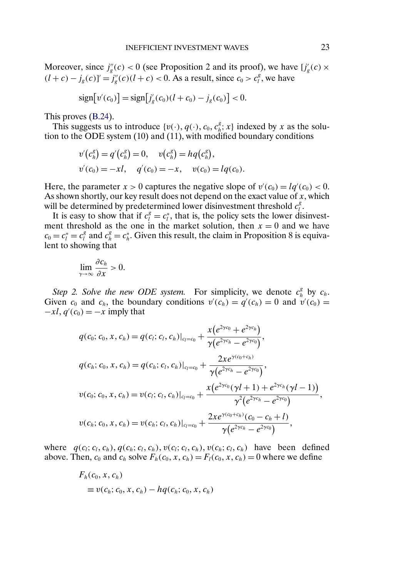Moreover, since  $j''_g(c) < 0$  (see Proposition 2 and its proof), we have  $[j'_g(c) \times$  $(l + c) - j_g(c)$ <sup>'</sup> $= j_g''(c)$  $(l + c) < 0$ . As a result, since  $c_0 > c_l^g$ , we have

$$
\text{sign}[v'(c_0)] = \text{sign}[j'_g(c_0)(l + c_0) - j_g(c_0)] < 0.
$$

This proves [\(B.24\)](#page-21-0).

This suggests us to introduce  $\{v(\cdot), q(\cdot), c_0, c_h^g; x\}$  indexed by x as the solution to the ODE system (10) and (11), with modified boundary conditions

$$
v'(c_h^g) = q'(c_h^g) = 0, \quad v(c_h^g) = hq(c_h^g),
$$
  

$$
v'(c_0) = -xl, \quad q'(c_0) = -x, \quad v(c_0) = lq(c_0).
$$

Here, the parameter  $x > 0$  captures the negative slope of  $v'(c_0) = lq'(c_0) < 0$ . As shown shortly, our key result does not depend on the exact value of  $x$ , which will be determined by predetermined lower disinvestment threshold  $c_l^g$ .

It is easy to show that if  $c_i^g = c_i^*$ , that is, the policy sets the lower disinvestment threshold as the one in the market solution, then  $x = 0$  and we have  $c_0 = c_l^* = c_l^*$  and  $c_h^s = c_h^*$ . Given this result, the claim in Proposition 8 is equivalent to showing that

$$
\lim_{\gamma\to\infty}\frac{\partial c_h}{\partial x}>0.
$$

Step 2. Solve the new ODE system. For simplicity, we denote  $c_h^g$  by  $c_h$ . Given  $c_0$  and  $c_h$ , the boundary conditions  $v'(c_h) = q'(c_h) = 0$  and  $v'(c_0) = 0$  $-xl, q'(c_0) = -x$  imply that

$$
q(c_0; c_0, x, c_h) = q(c_l; c_l, c_h)|_{c_l = c_0} + \frac{x(e^{2\gamma c_0} + e^{2\gamma c_h})}{\gamma(e^{2\gamma c_h} - e^{2\gamma c_0})},
$$
  
\n
$$
q(c_h; c_0, x, c_h) = q(c_h; c_l, c_h)|_{c_l = c_0} + \frac{2xe^{\gamma(c_0 + c_h)}}{\gamma(e^{2\gamma c_h} - e^{2\gamma c_0})},
$$
  
\n
$$
v(c_0; c_0, x, c_h) = v(c_l; c_l, c_h)|_{c_l = c_0} + \frac{x(e^{2\gamma c_0}(\gamma l + 1) + e^{2\gamma c_h}(\gamma l - 1))}{\gamma^2(e^{2\gamma c_h} - e^{2\gamma c_0})},
$$
  
\n
$$
v(c_h; c_0, x, c_h) = v(c_h; c_l, c_h)|_{c_l = c_0} + \frac{2xe^{\gamma(c_0 + c_h)}(c_0 - c_h + l)}{\gamma(e^{2\gamma c_h} - e^{2\gamma c_0})},
$$

where  $q(c_i; c_i, c_h)$ ,  $q(c_h; c_l, c_h)$ ,  $v(c_l; c_l, c_h)$ ,  $v(c_h; c_l, c_h)$  have been defined above. Then,  $c_0$  and  $c_h$  solve  $F_h(c_0, x, c_h) = F_l(c_0, x, c_h) = 0$  where we define

$$
F_h(c_0, x, c_h)
$$
  
\n
$$
\equiv v(c_h; c_0, x, c_h) - hq(c_h; c_0, x, c_h)
$$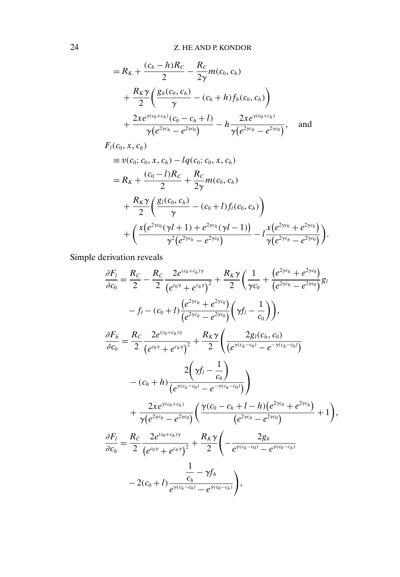$$
= R_K + \frac{(c_h - h)R_C}{2} - \frac{R_C}{2\gamma}m(c_0, c_h)
$$
  
+ 
$$
\frac{R_K\gamma}{2} \left( \frac{g_h(c_0, c_h)}{\gamma} - (c_h + h)f_h(c_0, c_h) \right)
$$
  
+ 
$$
\frac{2xe^{\gamma(c_0 + c_h)}(c_0 - c_h + l)}{\gamma(e^{2\gamma c_h} - e^{2\gamma c_0})} - h\frac{2xe^{\gamma(c_0 + c_h)}}{\gamma(e^{2\gamma c_h} - e^{2\gamma c_0})},
$$
 and

$$
F_{l}(c_{0}, x, c_{h})
$$
\n
$$
\equiv v(c_{0}; c_{0}, x, c_{h}) - lq(c_{0}; c_{0}, x, c_{h})
$$
\n
$$
= R_{K} + \frac{(c_{0} - l)R_{C}}{2} + \frac{R_{C}}{2\gamma}m(c_{0}, c_{h})
$$
\n
$$
+ \frac{R_{K}\gamma}{2} \left( \frac{g_{l}(c_{0}, c_{h})}{\gamma} - (c_{0} + l)f_{l}(c_{0}, c_{h}) \right)
$$
\n
$$
+ \left( \frac{x(e^{2\gamma c_{0}}(\gamma l + 1) + e^{2\gamma c_{h}}(\gamma l - 1))}{\gamma^{2}(e^{2\gamma c_{h}} - e^{2\gamma c_{0}})} - l\frac{x(e^{2\gamma c_{0}} + e^{2\gamma c_{h}})}{\gamma(e^{2\gamma c_{h}} - e^{2\gamma c_{0}})} \right).
$$

Simple derivation reveals

$$
\frac{\partial F_l}{\partial c_0} = \frac{R_C}{2} - \frac{R_C}{2} \frac{2e^{(c_0+c_h)\gamma}}{(e^{c_0\gamma}+e^{c_h\gamma})^2} + \frac{R_K\gamma}{2} \left(\frac{1}{\gamma c_0} + \frac{(e^{2\gamma c_h}+e^{2\gamma c_0})}{(e^{2\gamma c_h}-e^{2\gamma c_0})}g_l
$$
\n
$$
-f_l - (c_0+l)\frac{(e^{2\gamma c_h}+e^{2\gamma c_0})}{(e^{2\gamma c_h}-e^{2\gamma c_0})}\left(\gamma f_l - \frac{1}{c_0}\right)\right),
$$
\n
$$
\frac{\partial F_h}{\partial c_0} = \frac{R_C}{2} \frac{2e^{(c_0+c_h)\gamma}}{(e^{c_0\gamma}+e^{c_h\gamma})^2} + \frac{R_K\gamma}{2} \left(\frac{2g_l(c_h, c_0)}{(e^{\gamma(c_h-c_0)}-e^{-\gamma(c_h-c_0)})}\right)
$$
\n
$$
- (c_h+h)\frac{2\left(\gamma f_l - \frac{1}{c_0}\right)}{(e^{\gamma(c_h-c_0)}-e^{-\gamma(c_h-c_0)})}\right)
$$
\n
$$
+ \frac{2xe^{\gamma(c_0+c_h)}}{\gamma(e^{2\gamma c_h}-e^{2\gamma c_0})}\left(\frac{\gamma(c_0-c_h+l-h)(e^{2\gamma c_0}+e^{2\gamma c_h})}{(e^{2\gamma c_h}-e^{2\gamma c_0})}+1\right),
$$
\n
$$
\frac{\partial F_l}{\partial c_h} = \frac{R_C}{2} \frac{2e^{(c_0+c_h)\gamma}}{(e^{c_0\gamma}+e^{c_h\gamma})^2} + \frac{R_K\gamma}{2} \left(-\frac{2g_h}{e^{\gamma(c_h-c_0)}-e^{\gamma(c_0-c_h)}}\right)
$$
\n
$$
-2(c_0+l)\frac{\frac{1}{e^{\gamma(c_h-c_0)}-e^{\gamma(c_0-c_h)}}{e^{\gamma(c_h-c_0)}-e^{\gamma(c_0-c_h)}}\right),
$$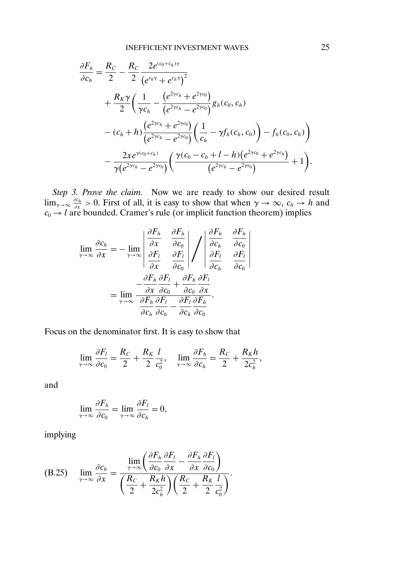<span id="page-24-0"></span>
$$
\frac{\partial F_h}{\partial c_h} = \frac{R_C}{2} - \frac{R_C}{2} \frac{2e^{(c_0 + c_h)\gamma}}{(e^{c_0 \gamma} + e^{c_h \gamma})^2} \n+ \frac{R_K \gamma}{2} \left( \frac{1}{\gamma c_h} - \frac{(e^{2\gamma c_h} + e^{2\gamma c_0})}{(e^{2\gamma c_h} - e^{2\gamma c_0})} g_h(c_0, c_h) \right. \n- (c_h + h) \frac{(e^{2\gamma c_h} + e^{2\gamma c_0})}{(e^{2\gamma c_h} - e^{2\gamma c_0})} \left( \frac{1}{c_h} - \gamma f_h(c_h, c_0) \right) - f_h(c_0, c_h) \n- \frac{2xe^{\gamma (c_0 + c_h)}}{\gamma (e^{2\gamma c_h} - e^{2\gamma c_0})} \left( \frac{\gamma (c_0 - c_h + l - h)(e^{2\gamma c_0} + e^{2\gamma c_h})}{(e^{2\gamma c_h} - e^{2\gamma c_0})} + 1 \right).
$$

*Step 3. Prove the claim.* Now we are ready to show our desired result  $\lim_{\gamma \to \infty} \frac{\partial c_h}{\partial x} > 0$ . First of all, it is easy to show that when  $\gamma \to \infty$ ,  $c_h \to h$  and  $c_0 \rightarrow l$  are bounded. Cramer's rule (or implicit function theorem) implies

$$
\lim_{\gamma \to \infty} \frac{\partial c_h}{\partial x} = -\lim_{\gamma \to \infty} \left| \frac{\frac{\partial F_h}{\partial x}}{\frac{\partial F_l}{\partial x}} \frac{\frac{\partial F_h}{\partial c_0}}{\frac{\partial F_l}{\partial c_0}} \right| / \int \left| \frac{\frac{\partial F_h}{\partial c_h}}{\frac{\partial F_l}{\partial c_h}} \frac{\frac{\partial F_h}{\partial c_0}}{\frac{\partial F_l}{\partial c_0}} \right|
$$
\n
$$
= \lim_{\gamma \to \infty} \frac{\partial F_h}{\frac{\partial F_h}{\partial c_0} \frac{\partial F_l}{\partial c_0}} + \frac{\partial F_h}{\partial c_0} \frac{\partial F_l}{\partial x}
$$
\n
$$
= \lim_{\gamma \to \infty} \frac{\partial F_h}{\frac{\partial F_h}{\partial c_0} \frac{\partial F_l}{\partial c_0}} - \frac{\partial F_l}{\partial c_h} \frac{\partial F_h}{\partial c_0}.
$$

Focus on the denominator first. It is easy to show that

$$
\lim_{\gamma \to \infty} \frac{\partial F_l}{\partial c_0} = \frac{R_C}{2} + \frac{R_K}{2} \frac{l}{c_0^2}, \quad \lim_{\gamma \to \infty} \frac{\partial F_h}{\partial c_h} = \frac{R_C}{2} + \frac{R_K h}{2c_h^2},
$$

and

$$
\lim_{\gamma \to \infty} \frac{\partial F_h}{\partial c_0} = \lim_{\gamma \to \infty} \frac{\partial F_l}{\partial c_h} = 0,
$$

implying

(B.25) 
$$
\lim_{\gamma \to \infty} \frac{\partial c_h}{\partial x} = \frac{\lim_{\gamma \to \infty} \left( \frac{\partial F_h}{\partial c_0} \frac{\partial F_l}{\partial x} - \frac{\partial F_h}{\partial x} \frac{\partial F_l}{\partial c_0} \right)}{\left( \frac{R_C}{2} + \frac{R_K h}{2c_h^2} \right) \left( \frac{R_C}{2} + \frac{R_K l}{2} \frac{l}{c_0^2} \right)}.
$$